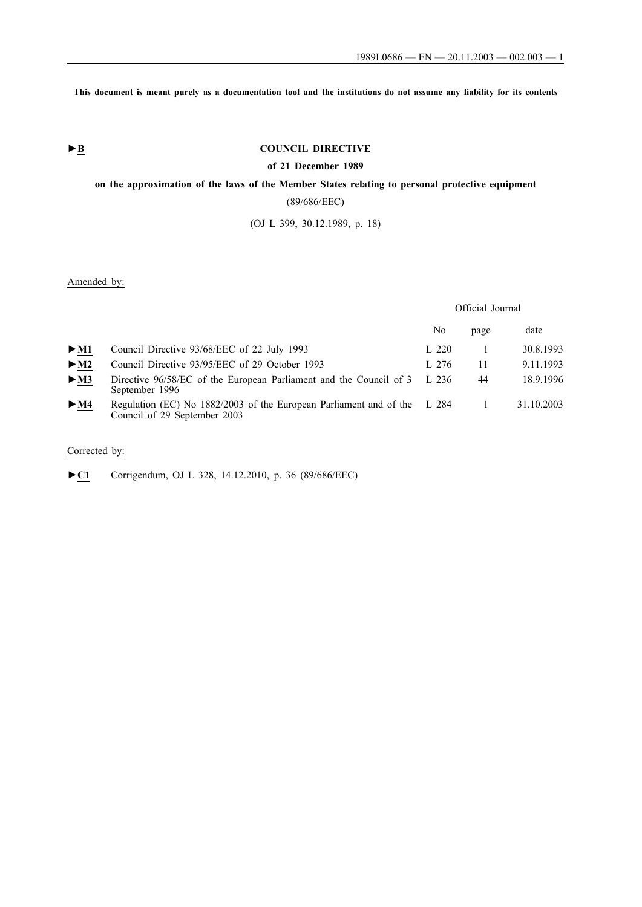**This document is meant purely as a documentation tool and the institutions do not assume any liability for its contents**

# **►B COUNCIL DIRECTIVE**

### **of 21 December 1989**

# **on the approximation of the laws of the Member States relating to personal protective equipment**

(89/686/EEC)

(OJ L 399, 30.12.1989, p. 18)

## Amended by:

Official Journal

|                          |                                                                                                          | No    | page | date       |
|--------------------------|----------------------------------------------------------------------------------------------------------|-------|------|------------|
| $>$ M1                   | Council Directive 93/68/EEC of 22 July 1993                                                              | L 220 |      | 30.8.1993  |
| $>$ M2                   | Council Directive 93/95/EEC of 29 October 1993                                                           | L 276 | 11   | 9.11.1993  |
| $\blacktriangleright$ M3 | Directive 96/58/EC of the European Parliament and the Council of 3 L 236<br>September 1996               |       | 44   | 18.9.1996  |
| $\blacktriangleright$ M4 | Regulation (EC) No 1882/2003 of the European Parliament and of the L 284<br>Council of 29 September 2003 |       |      | 31.10.2003 |

# Corrected by:

►**C1** Corrigendum, OJ L 328, 14.12.2010, p. 36 (89/686/EEC)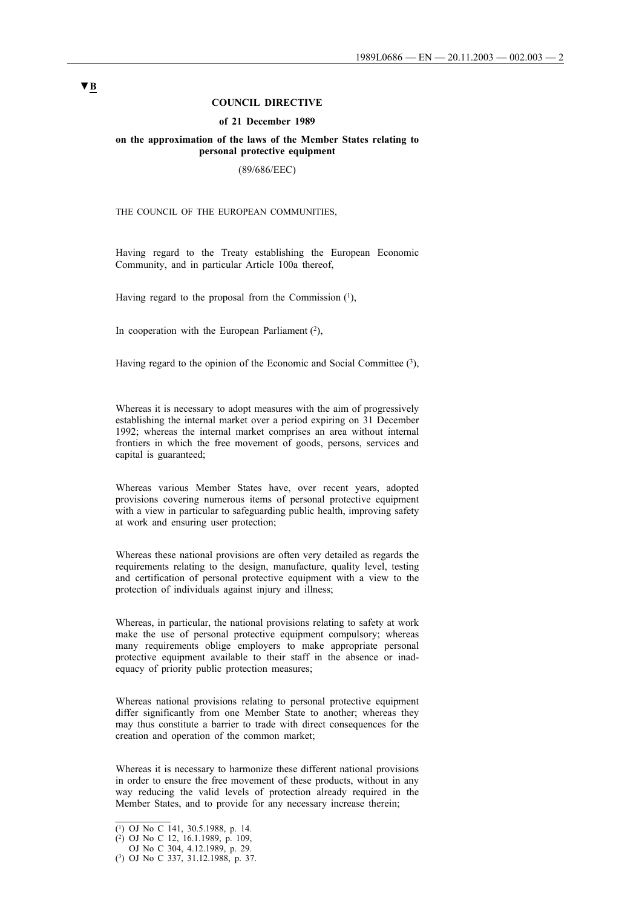### **COUNCIL DIRECTIVE**

#### **of 21 December 1989**

### **on the approximation of the laws of the Member States relating to personal protective equipment**

#### (89/686/EEC)

THE COUNCIL OF THE EUROPEAN COMMUNITIES,

Having regard to the Treaty establishing the European Economic Community, and in particular Article 100a thereof,

Having regard to the proposal from the Commission  $(1)$ ,

In cooperation with the European Parliament  $(2)$ ,

Having regard to the opinion of the Economic and Social Committee  $(3)$ ,

Whereas it is necessary to adopt measures with the aim of progressively establishing the internal market over a period expiring on 31 December 1992; whereas the internal market comprises an area without internal frontiers in which the free movement of goods, persons, services and capital is guaranteed;

Whereas various Member States have, over recent years, adopted provisions covering numerous items of personal protective equipment with a view in particular to safeguarding public health, improving safety at work and ensuring user protection;

Whereas these national provisions are often very detailed as regards the requirements relating to the design, manufacture, quality level, testing and certification of personal protective equipment with a view to the protection of individuals against injury and illness;

Whereas, in particular, the national provisions relating to safety at work make the use of personal protective equipment compulsory; whereas many requirements oblige employers to make appropriate personal protective equipment available to their staff in the absence or inadequacy of priority public protection measures;

Whereas national provisions relating to personal protective equipment differ significantly from one Member State to another; whereas they may thus constitute a barrier to trade with direct consequences for the creation and operation of the common market;

Whereas it is necessary to harmonize these different national provisions in order to ensure the free movement of these products, without in any way reducing the valid levels of protection already required in the Member States, and to provide for any necessary increase therein;

<sup>(1)</sup> OJ No C 141, 30.5.1988, p. 14.

<sup>(2)</sup> OJ No C 12, 16.1.1989, p. 109,

OJ No C 304, 4.12.1989, p. 29.

<sup>(3)</sup> OJ No C 337, 31.12.1988, p. 37.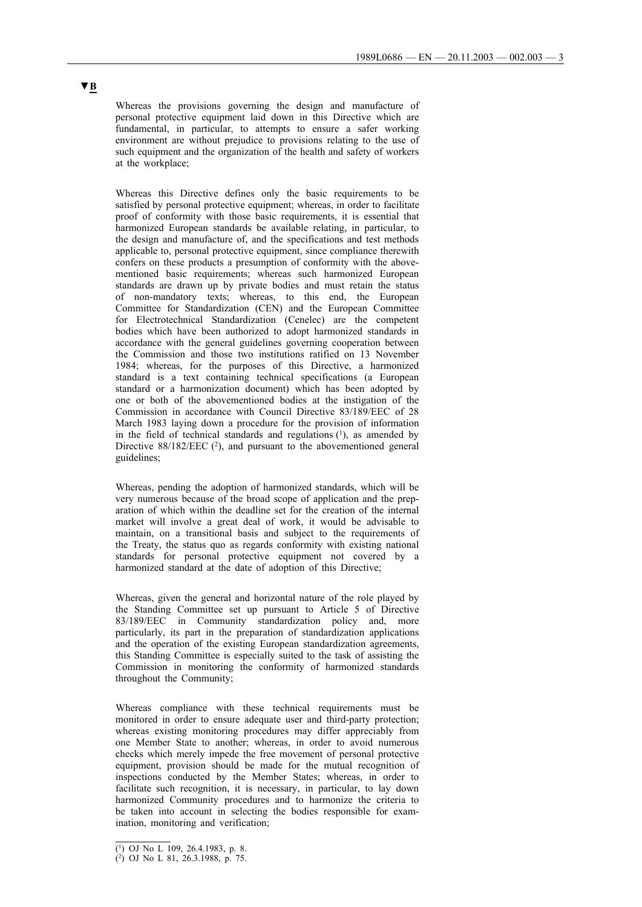Whereas the provisions governing the design and manufacture of personal protective equipment laid down in this Directive which are fundamental, in particular, to attempts to ensure a safer working environment are without prejudice to provisions relating to the use of such equipment and the organization of the health and safety of workers at the workplace;

Whereas this Directive defines only the basic requirements to be satisfied by personal protective equipment; whereas, in order to facilitate proof of conformity with those basic requirements, it is essential that harmonized European standards be available relating, in particular, to the design and manufacture of, and the specifications and test methods applicable to, personal protective equipment, since compliance therewith confers on these products a presumption of conformity with the abovementioned basic requirements; whereas such harmonized European standards are drawn up by private bodies and must retain the status of non-mandatory texts; whereas, to this end, the European Committee for Standardization (CEN) and the European Committee for Electrotechnical Standardization (Cenelec) are the competent bodies which have been authorized to adopt harmonized standards in accordance with the general guidelines governing cooperation between the Commission and those two institutions ratified on 13 November 1984; whereas, for the purposes of this Directive, a harmonized standard is a text containing technical specifications (a European standard or a harmonization document) which has been adopted by one or both of the abovementioned bodies at the instigation of the Commission in accordance with Council Directive 83/189/EEC of 28 March 1983 laying down a procedure for the provision of information in the field of technical standards and regulations  $(1)$ , as amended by Directive  $88/182/EEC$  (<sup>2</sup>), and pursuant to the abovementioned general guidelines;

Whereas, pending the adoption of harmonized standards, which will be very numerous because of the broad scope of application and the preparation of which within the deadline set for the creation of the internal market will involve a great deal of work, it would be advisable to maintain, on a transitional basis and subject to the requirements of the Treaty, the status quo as regards conformity with existing national standards for personal protective equipment not covered by a harmonized standard at the date of adoption of this Directive;

Whereas, given the general and horizontal nature of the role played by the Standing Committee set up pursuant to Article 5 of Directive 83/189/EEC in Community standardization policy and, more particularly, its part in the preparation of standardization applications and the operation of the existing European standardization agreements, this Standing Committee is especially suited to the task of assisting the Commission in monitoring the conformity of harmonized standards throughout the Community;

Whereas compliance with these technical requirements must be monitored in order to ensure adequate user and third-party protection; whereas existing monitoring procedures may differ appreciably from one Member State to another; whereas, in order to avoid numerous checks which merely impede the free movement of personal protective equipment, provision should be made for the mutual recognition of inspections conducted by the Member States; whereas, in order to facilitate such recognition, it is necessary, in particular, to lay down harmonized Community procedures and to harmonize the criteria to be taken into account in selecting the bodies responsible for examination, monitoring and verification;

<sup>(1)</sup> OJ No L 109, 26.4.1983, p. 8.

 $(2)$  OJ No L 81, 26.3.1988, p. 75.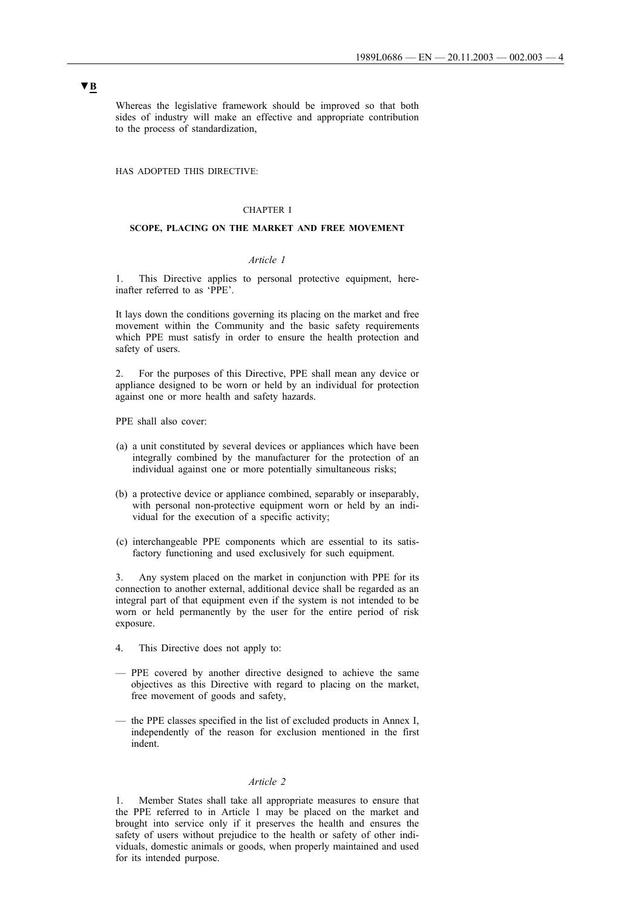Whereas the legislative framework should be improved so that both sides of industry will make an effective and appropriate contribution to the process of standardization,

HAS ADOPTED THIS DIRECTIVE:

## CHAPTER I

### **SCOPE, PLACING ON THE MARKET AND FREE MOVEMENT**

### *Article 1*

1. This Directive applies to personal protective equipment, hereinafter referred to as 'PPE'.

It lays down the conditions governing its placing on the market and free movement within the Community and the basic safety requirements which PPE must satisfy in order to ensure the health protection and safety of users.

2. For the purposes of this Directive, PPE shall mean any device or appliance designed to be worn or held by an individual for protection against one or more health and safety hazards.

PPE shall also cover:

- (a) a unit constituted by several devices or appliances which have been integrally combined by the manufacturer for the protection of an individual against one or more potentially simultaneous risks;
- (b) a protective device or appliance combined, separably or inseparably, with personal non-protective equipment worn or held by an individual for the execution of a specific activity;
- (c) interchangeable PPE components which are essential to its satisfactory functioning and used exclusively for such equipment.

3. Any system placed on the market in conjunction with PPE for its connection to another external, additional device shall be regarded as an integral part of that equipment even if the system is not intended to be worn or held permanently by the user for the entire period of risk exposure.

- 4. This Directive does not apply to:
- PPE covered by another directive designed to achieve the same objectives as this Directive with regard to placing on the market, free movement of goods and safety,
- the PPE classes specified in the list of excluded products in Annex I, independently of the reason for exclusion mentioned in the first indent.

### *Article 2*

1. Member States shall take all appropriate measures to ensure that the PPE referred to in Article 1 may be placed on the market and brought into service only if it preserves the health and ensures the safety of users without prejudice to the health or safety of other individuals, domestic animals or goods, when properly maintained and used for its intended purpose.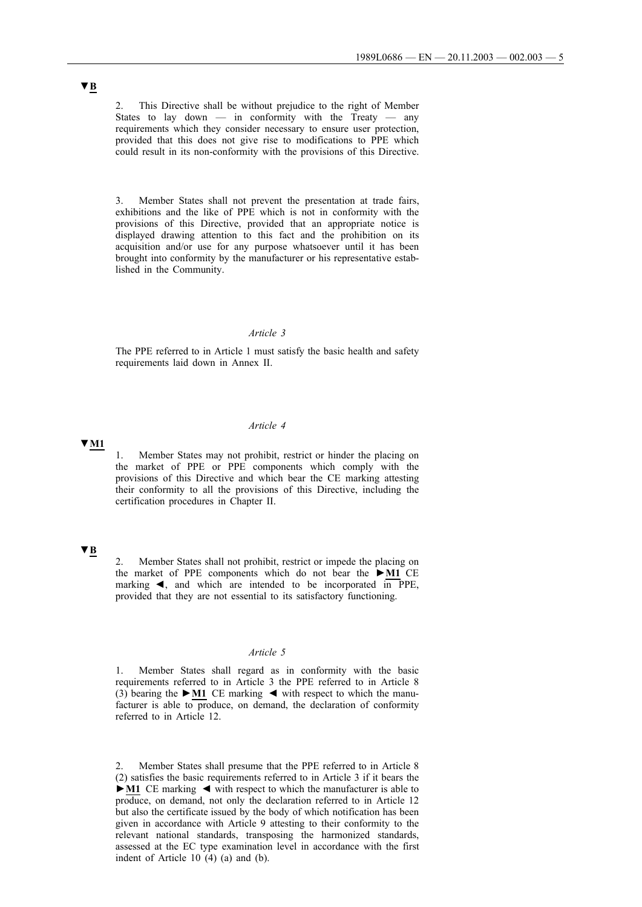2. This Directive shall be without prejudice to the right of Member States to lay down — in conformity with the Treaty — any requirements which they consider necessary to ensure user protection, provided that this does not give rise to modifications to PPE which could result in its non-conformity with the provisions of this Directive.

3. Member States shall not prevent the presentation at trade fairs, exhibitions and the like of PPE which is not in conformity with the provisions of this Directive, provided that an appropriate notice is displayed drawing attention to this fact and the prohibition on its acquisition and/or use for any purpose whatsoever until it has been brought into conformity by the manufacturer or his representative established in the Community.

## *Article 3*

The PPE referred to in Article 1 must satisfy the basic health and safety requirements laid down in Annex II.

#### *Article 4*

**▼M1**

1. Member States may not prohibit, restrict or hinder the placing on the market of PPE or PPE components which comply with the provisions of this Directive and which bear the CE marking attesting their conformity to all the provisions of this Directive, including the certification procedures in Chapter II.

# **▼B**

2. Member States shall not prohibit, restrict or impede the placing on the market of PPE components which do not bear the **►M1** CE marking  $\triangleleft$ , and which are intended to be incorporated in PPE, provided that they are not essential to its satisfactory functioning.

#### *Article 5*

1. Member States shall regard as in conformity with the basic requirements referred to in Article 3 the PPE referred to in Article 8 (3) bearing the  $\blacktriangleright$  **M1** CE marking  $\blacktriangleleft$  with respect to which the manufacturer is able to produce, on demand, the declaration of conformity referred to in Article 12.

2. Member States shall presume that the PPE referred to in Article 8 (2) satisfies the basic requirements referred to in Article 3 if it bears the **►M1** CE marking ◄ with respect to which the manufacturer is able to produce, on demand, not only the declaration referred to in Article 12 but also the certificate issued by the body of which notification has been given in accordance with Article 9 attesting to their conformity to the relevant national standards, transposing the harmonized standards, assessed at the EC type examination level in accordance with the first indent of Article 10 (4) (a) and (b).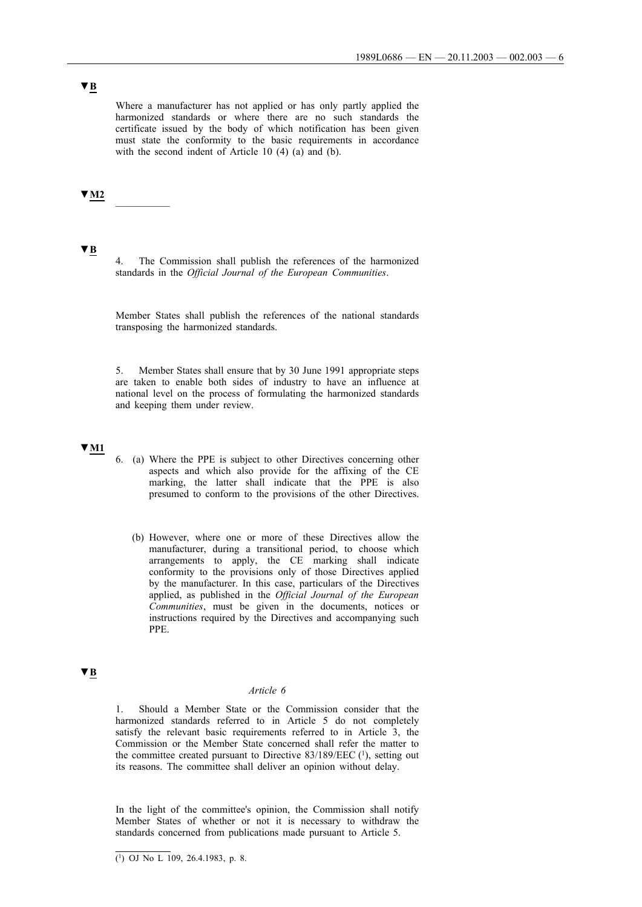Where a manufacturer has not applied or has only partly applied the harmonized standards or where there are no such standards the certificate issued by the body of which notification has been given must state the conformity to the basic requirements in accordance with the second indent of Article 10 (4) (a) and (b).

# **▼M2** \_\_\_\_\_\_\_\_\_\_

# **▼B**

4. The Commission shall publish the references of the harmonized standards in the *Official Journal of the European Communities*.

Member States shall publish the references of the national standards transposing the harmonized standards.

5. Member States shall ensure that by 30 June 1991 appropriate steps are taken to enable both sides of industry to have an influence at national level on the process of formulating the harmonized standards and keeping them under review.

#### **▼M1**

- 6. (a) Where the PPE is subject to other Directives concerning other aspects and which also provide for the affixing of the CE marking, the latter shall indicate that the PPE is also presumed to conform to the provisions of the other Directives.
	- (b) However, where one or more of these Directives allow the manufacturer, during a transitional period, to choose which arrangements to apply, the CE marking shall indicate conformity to the provisions only of those Directives applied by the manufacturer. In this case, particulars of the Directives applied, as published in the *Official Journal of the European Communities*, must be given in the documents, notices or instructions required by the Directives and accompanying such PPE.

## **▼B**

## *Article 6*

1. Should a Member State or the Commission consider that the harmonized standards referred to in Article 5 do not completely satisfy the relevant basic requirements referred to in Article 3, the Commission or the Member State concerned shall refer the matter to the committee created pursuant to Directive  $83/189/EEC$  (1), setting out its reasons. The committee shall deliver an opinion without delay.

In the light of the committee's opinion, the Commission shall notify Member States of whether or not it is necessary to withdraw the standards concerned from publications made pursuant to Article 5.

 $\overline{(^1)}$  OJ No L 109, 26.4.1983, p. 8.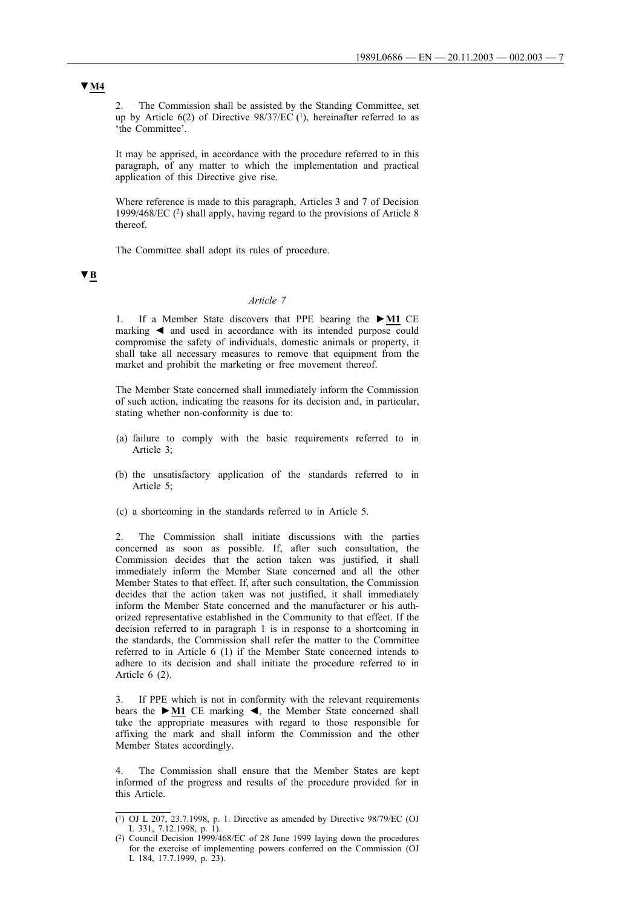2. The Commission shall be assisted by the Standing Committee, set up by Article  $6(2)$  of Directive  $98/37/EC$  (<sup>1</sup>), hereinafter referred to as 'the Committee'.

It may be apprised, in accordance with the procedure referred to in this paragraph, of any matter to which the implementation and practical application of this Directive give rise.

Where reference is made to this paragraph, Articles 3 and 7 of Decision 1999/468/EC (2) shall apply, having regard to the provisions of Article 8 thereof.

The Committee shall adopt its rules of procedure.

**▼B**

## *Article 7*

1. If a Member State discovers that PPE bearing the **►M1** CE marking  $\triangleleft$  and used in accordance with its intended purpose could compromise the safety of individuals, domestic animals or property, it shall take all necessary measures to remove that equipment from the market and prohibit the marketing or free movement thereof.

The Member State concerned shall immediately inform the Commission of such action, indicating the reasons for its decision and, in particular, stating whether non-conformity is due to:

- (a) failure to comply with the basic requirements referred to in Article 3;
- (b) the unsatisfactory application of the standards referred to in Article 5;
- (c) a shortcoming in the standards referred to in Article 5.

2. The Commission shall initiate discussions with the parties concerned as soon as possible. If, after such consultation, the Commission decides that the action taken was justified, it shall immediately inform the Member State concerned and all the other Member States to that effect. If, after such consultation, the Commission decides that the action taken was not justified, it shall immediately inform the Member State concerned and the manufacturer or his authorized representative established in the Community to that effect. If the decision referred to in paragraph 1 is in response to a shortcoming in the standards, the Commission shall refer the matter to the Committee referred to in Article 6 (1) if the Member State concerned intends to adhere to its decision and shall initiate the procedure referred to in Article 6 (2).

3. If PPE which is not in conformity with the relevant requirements bears the **►M1** CE marking ◄, the Member State concerned shall take the appropriate measures with regard to those responsible for affixing the mark and shall inform the Commission and the other Member States accordingly.

4. The Commission shall ensure that the Member States are kept informed of the progress and results of the procedure provided for in this Article.

# **▼M4**

<sup>(1)</sup> OJ L 207, 23.7.1998, p. 1. Directive as amended by Directive 98/79/EC (OJ L 331, 7.12.1998, p. 1).

<sup>(2)</sup> Council Decision 1999/468/EC of 28 June 1999 laying down the procedures for the exercise of implementing powers conferred on the Commission (OJ L 184, 17.7.1999, p. 23).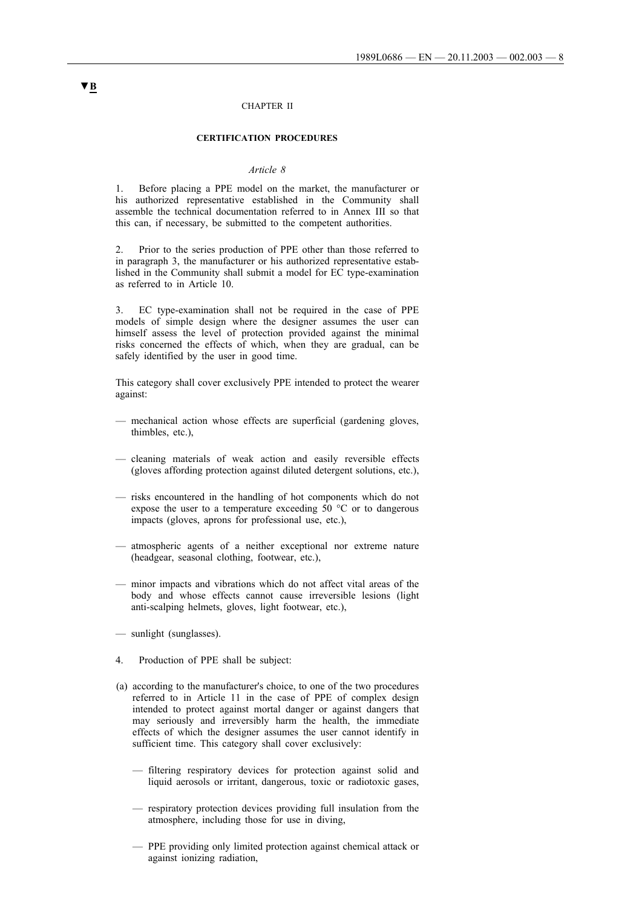#### CHAPTER II

### **CERTIFICATION PROCEDURES**

### *Article 8*

1. Before placing a PPE model on the market, the manufacturer or his authorized representative established in the Community shall assemble the technical documentation referred to in Annex III so that this can, if necessary, be submitted to the competent authorities.

2. Prior to the series production of PPE other than those referred to in paragraph 3, the manufacturer or his authorized representative established in the Community shall submit a model for EC type-examination as referred to in Article 10.

3. EC type-examination shall not be required in the case of PPE models of simple design where the designer assumes the user can himself assess the level of protection provided against the minimal risks concerned the effects of which, when they are gradual, can be safely identified by the user in good time.

This category shall cover exclusively PPE intended to protect the wearer against:

- mechanical action whose effects are superficial (gardening gloves, thimbles, etc.),
- cleaning materials of weak action and easily reversible effects (gloves affording protection against diluted detergent solutions, etc.),
- risks encountered in the handling of hot components which do not expose the user to a temperature exceeding 50 °C or to dangerous impacts (gloves, aprons for professional use, etc.),
- atmospheric agents of a neither exceptional nor extreme nature (headgear, seasonal clothing, footwear, etc.),
- minor impacts and vibrations which do not affect vital areas of the body and whose effects cannot cause irreversible lesions (light anti-scalping helmets, gloves, light footwear, etc.),
- sunlight (sunglasses).
- 4. Production of PPE shall be subject:
- (a) according to the manufacturer's choice, to one of the two procedures referred to in Article 11 in the case of PPE of complex design intended to protect against mortal danger or against dangers that may seriously and irreversibly harm the health, the immediate effects of which the designer assumes the user cannot identify in sufficient time. This category shall cover exclusively:
	- filtering respiratory devices for protection against solid and liquid aerosols or irritant, dangerous, toxic or radiotoxic gases,
	- respiratory protection devices providing full insulation from the atmosphere, including those for use in diving,
	- PPE providing only limited protection against chemical attack or against ionizing radiation,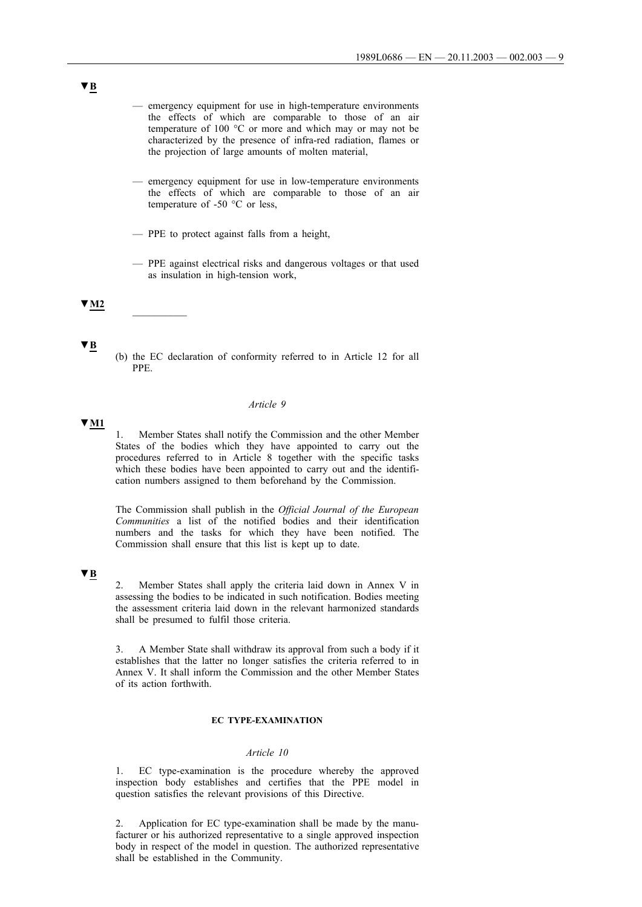- emergency equipment for use in high-temperature environments the effects of which are comparable to those of an air temperature of 100 °C or more and which may or may not be characterized by the presence of infra-red radiation, flames or the projection of large amounts of molten material,
- emergency equipment for use in low-temperature environments the effects of which are comparable to those of an air temperature of -50 °C or less,
- PPE to protect against falls from a height,
- PPE against electrical risks and dangerous voltages or that used as insulation in high-tension work,

**▼M2** \_\_\_\_\_\_\_\_\_\_

(b) the EC declaration of conformity referred to in Article 12 for all PPE.

#### *Article 9*

**▼M1**

**▼B**

1. Member States shall notify the Commission and the other Member States of the bodies which they have appointed to carry out the procedures referred to in Article 8 together with the specific tasks which these bodies have been appointed to carry out and the identification numbers assigned to them beforehand by the Commission.

The Commission shall publish in the *Official Journal of the European Communities* a list of the notified bodies and their identification numbers and the tasks for which they have been notified. The Commission shall ensure that this list is kept up to date.

## **▼B**

2. Member States shall apply the criteria laid down in Annex V in assessing the bodies to be indicated in such notification. Bodies meeting the assessment criteria laid down in the relevant harmonized standards shall be presumed to fulfil those criteria.

3. A Member State shall withdraw its approval from such a body if it establishes that the latter no longer satisfies the criteria referred to in Annex V. It shall inform the Commission and the other Member States of its action forthwith.

## **EC TYPE-EXAMINATION**

### *Article 10*

1. EC type-examination is the procedure whereby the approved inspection body establishes and certifies that the PPE model in question satisfies the relevant provisions of this Directive.

2. Application for EC type-examination shall be made by the manufacturer or his authorized representative to a single approved inspection body in respect of the model in question. The authorized representative shall be established in the Community.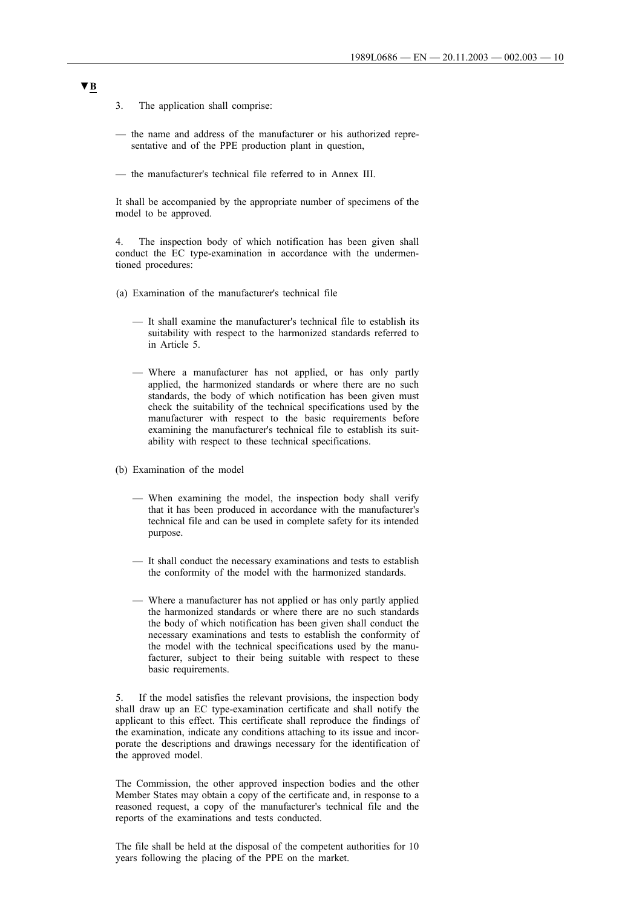- 3. The application shall comprise:
- the name and address of the manufacturer or his authorized representative and of the PPE production plant in question,
- the manufacturer's technical file referred to in Annex III.

It shall be accompanied by the appropriate number of specimens of the model to be approved.

4. The inspection body of which notification has been given shall conduct the EC type-examination in accordance with the undermentioned procedures:

- (a) Examination of the manufacturer's technical file
	- It shall examine the manufacturer's technical file to establish its suitability with respect to the harmonized standards referred to in Article 5.
	- Where a manufacturer has not applied, or has only partly applied, the harmonized standards or where there are no such standards, the body of which notification has been given must check the suitability of the technical specifications used by the manufacturer with respect to the basic requirements before examining the manufacturer's technical file to establish its suitability with respect to these technical specifications.
- (b) Examination of the model
	- When examining the model, the inspection body shall verify that it has been produced in accordance with the manufacturer's technical file and can be used in complete safety for its intended purpose.
	- It shall conduct the necessary examinations and tests to establish the conformity of the model with the harmonized standards.
	- Where a manufacturer has not applied or has only partly applied the harmonized standards or where there are no such standards the body of which notification has been given shall conduct the necessary examinations and tests to establish the conformity of the model with the technical specifications used by the manufacturer, subject to their being suitable with respect to these basic requirements.

5. If the model satisfies the relevant provisions, the inspection body shall draw up an EC type-examination certificate and shall notify the applicant to this effect. This certificate shall reproduce the findings of the examination, indicate any conditions attaching to its issue and incorporate the descriptions and drawings necessary for the identification of the approved model.

The Commission, the other approved inspection bodies and the other Member States may obtain a copy of the certificate and, in response to a reasoned request, a copy of the manufacturer's technical file and the reports of the examinations and tests conducted.

The file shall be held at the disposal of the competent authorities for 10 years following the placing of the PPE on the market.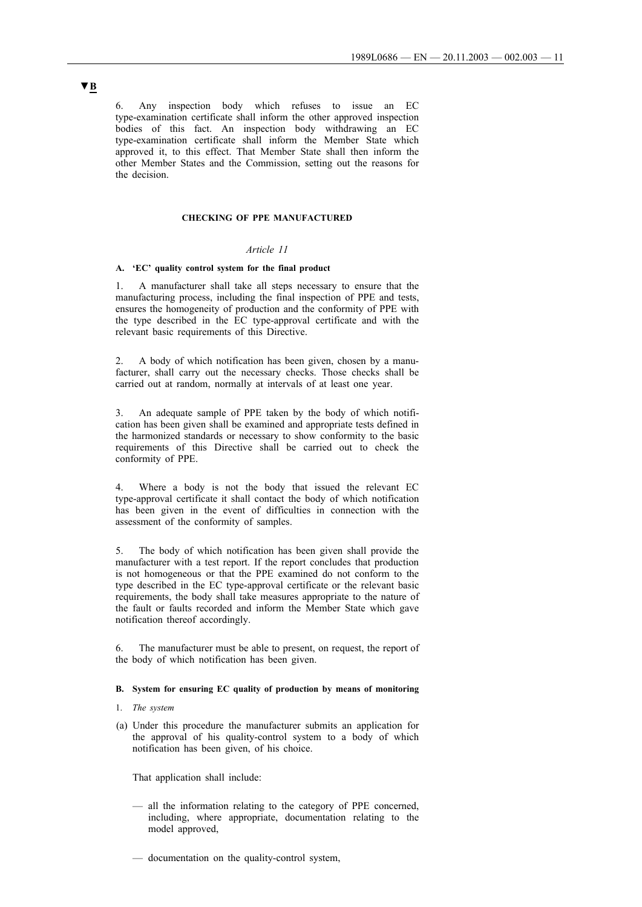6. Any inspection body which refuses to issue an EC type-examination certificate shall inform the other approved inspection bodies of this fact. An inspection body withdrawing an EC type-examination certificate shall inform the Member State which approved it, to this effect. That Member State shall then inform the other Member States and the Commission, setting out the reasons for the decision.

## **CHECKING OF PPE MANUFACTURED**

## *Article 11*

#### **A. 'EC' quality control system for the final product**

1. A manufacturer shall take all steps necessary to ensure that the manufacturing process, including the final inspection of PPE and tests, ensures the homogeneity of production and the conformity of PPE with the type described in the EC type-approval certificate and with the relevant basic requirements of this Directive.

2. A body of which notification has been given, chosen by a manufacturer, shall carry out the necessary checks. Those checks shall be carried out at random, normally at intervals of at least one year.

3. An adequate sample of PPE taken by the body of which notification has been given shall be examined and appropriate tests defined in the harmonized standards or necessary to show conformity to the basic requirements of this Directive shall be carried out to check the conformity of PPE.

4. Where a body is not the body that issued the relevant EC type-approval certificate it shall contact the body of which notification has been given in the event of difficulties in connection with the assessment of the conformity of samples.

5. The body of which notification has been given shall provide the manufacturer with a test report. If the report concludes that production is not homogeneous or that the PPE examined do not conform to the type described in the EC type-approval certificate or the relevant basic requirements, the body shall take measures appropriate to the nature of the fault or faults recorded and inform the Member State which gave notification thereof accordingly.

6. The manufacturer must be able to present, on request, the report of the body of which notification has been given.

### **B. System for ensuring EC quality of production by means of monitoring**

### 1. *The system*

(a) Under this procedure the manufacturer submits an application for the approval of his quality-control system to a body of which notification has been given, of his choice.

That application shall include:

- all the information relating to the category of PPE concerned, including, where appropriate, documentation relating to the model approved,
- documentation on the quality-control system,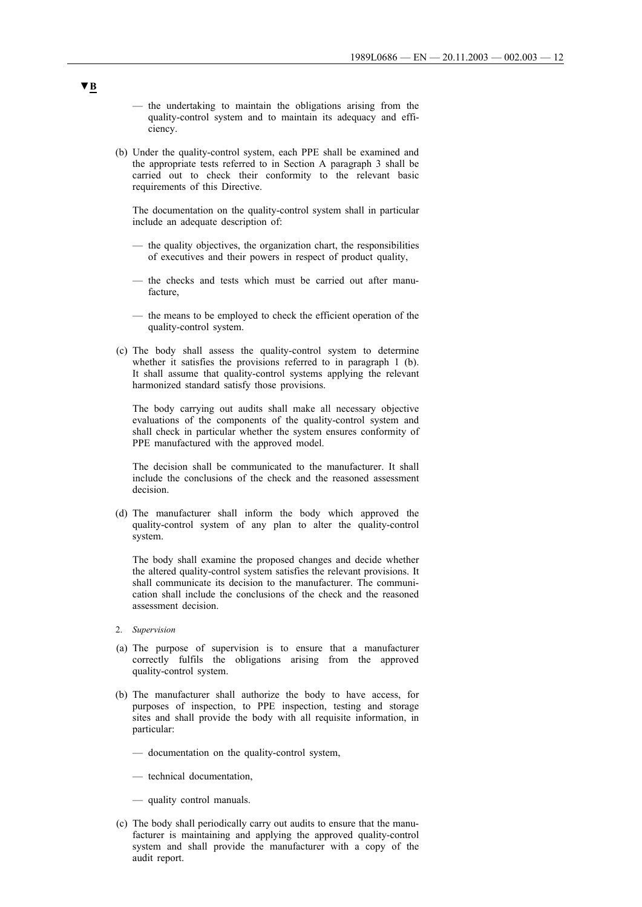- the undertaking to maintain the obligations arising from the quality-control system and to maintain its adequacy and efficiency.
- (b) Under the quality-control system, each PPE shall be examined and the appropriate tests referred to in Section A paragraph 3 shall be carried out to check their conformity to the relevant basic requirements of this Directive.

The documentation on the quality-control system shall in particular include an adequate description of:

- the quality objectives, the organization chart, the responsibilities of executives and their powers in respect of product quality,
- the checks and tests which must be carried out after manufacture,
- the means to be employed to check the efficient operation of the quality-control system.
- (c) The body shall assess the quality-control system to determine whether it satisfies the provisions referred to in paragraph 1 (b). It shall assume that quality-control systems applying the relevant harmonized standard satisfy those provisions.

The body carrying out audits shall make all necessary objective evaluations of the components of the quality-control system and shall check in particular whether the system ensures conformity of PPE manufactured with the approved model.

The decision shall be communicated to the manufacturer. It shall include the conclusions of the check and the reasoned assessment decision.

(d) The manufacturer shall inform the body which approved the quality-control system of any plan to alter the quality-control system.

The body shall examine the proposed changes and decide whether the altered quality-control system satisfies the relevant provisions. It shall communicate its decision to the manufacturer. The communication shall include the conclusions of the check and the reasoned assessment decision.

- 2. *Supervision*
- (a) The purpose of supervision is to ensure that a manufacturer correctly fulfils the obligations arising from the approved quality-control system.
- (b) The manufacturer shall authorize the body to have access, for purposes of inspection, to PPE inspection, testing and storage sites and shall provide the body with all requisite information, in particular:
	- documentation on the quality-control system,
	- technical documentation,
	- quality control manuals.
- (c) The body shall periodically carry out audits to ensure that the manufacturer is maintaining and applying the approved quality-control system and shall provide the manufacturer with a copy of the audit report.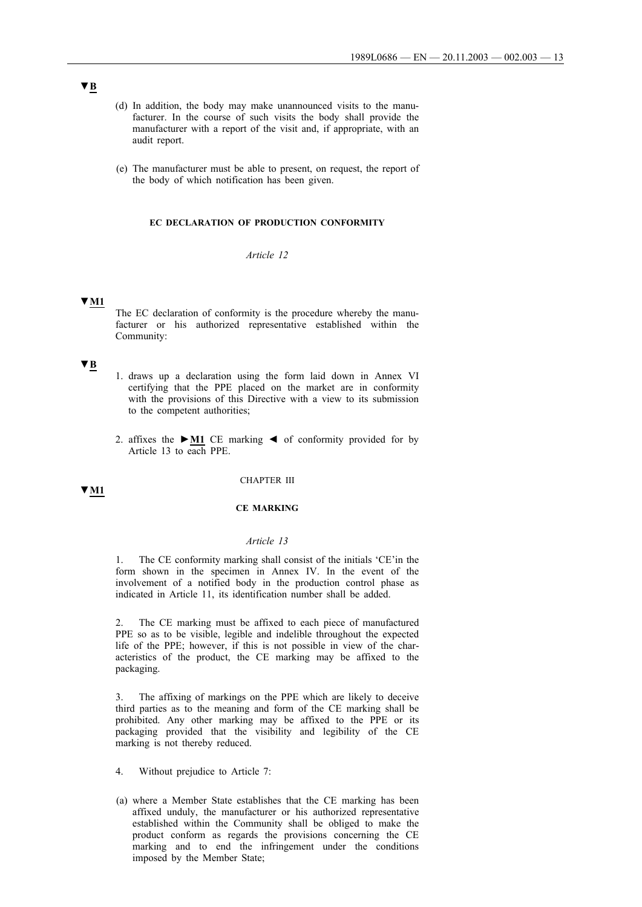- (d) In addition, the body may make unannounced visits to the manufacturer. In the course of such visits the body shall provide the manufacturer with a report of the visit and, if appropriate, with an audit report.
- (e) The manufacturer must be able to present, on request, the report of the body of which notification has been given.

#### **EC DECLARATION OF PRODUCTION CONFORMITY**

## *Article 12*

### **▼M1**

The EC declaration of conformity is the procedure whereby the manufacturer or his authorized representative established within the Community:

## **▼B**

- 1. draws up a declaration using the form laid down in Annex VI certifying that the PPE placed on the market are in conformity with the provisions of this Directive with a view to its submission to the competent authorities;
- 2. affixes the **►M1** CE marking ◄ of conformity provided for by Article 13 to each PPE.

#### CHAPTER III

# **▼M1**

### **CE MARKING**

#### *Article 13*

1. The CE conformity marking shall consist of the initials 'CE'in the form shown in the specimen in Annex IV. In the event of the involvement of a notified body in the production control phase as indicated in Article 11, its identification number shall be added.

The CE marking must be affixed to each piece of manufactured PPE so as to be visible, legible and indelible throughout the expected life of the PPE; however, if this is not possible in view of the characteristics of the product, the CE marking may be affixed to the packaging.

3. The affixing of markings on the PPE which are likely to deceive third parties as to the meaning and form of the CE marking shall be prohibited. Any other marking may be affixed to the PPE or its packaging provided that the visibility and legibility of the CE marking is not thereby reduced.

- 4. Without prejudice to Article 7:
- (a) where a Member State establishes that the CE marking has been affixed unduly, the manufacturer or his authorized representative established within the Community shall be obliged to make the product conform as regards the provisions concerning the CE marking and to end the infringement under the conditions imposed by the Member State;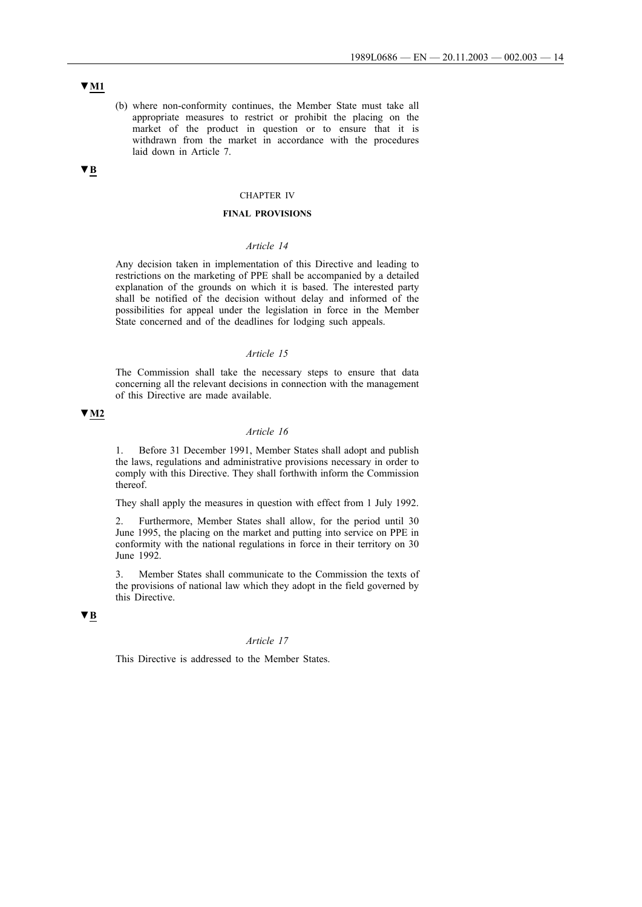(b) where non-conformity continues, the Member State must take all appropriate measures to restrict or prohibit the placing on the market of the product in question or to ensure that it is withdrawn from the market in accordance with the procedures laid down in Article 7.

# **▼B**

## CHAPTER IV

### **FINAL PROVISIONS**

### *Article 14*

Any decision taken in implementation of this Directive and leading to restrictions on the marketing of PPE shall be accompanied by a detailed explanation of the grounds on which it is based. The interested party shall be notified of the decision without delay and informed of the possibilities for appeal under the legislation in force in the Member State concerned and of the deadlines for lodging such appeals.

#### *Article 15*

The Commission shall take the necessary steps to ensure that data concerning all the relevant decisions in connection with the management of this Directive are made available.

## **▼M2**

## *Article 16*

1. Before 31 December 1991, Member States shall adopt and publish the laws, regulations and administrative provisions necessary in order to comply with this Directive. They shall forthwith inform the Commission thereof.

They shall apply the measures in question with effect from 1 July 1992.

2. Furthermore, Member States shall allow, for the period until 30 June 1995, the placing on the market and putting into service on PPE in conformity with the national regulations in force in their territory on 30 June 1992.

3. Member States shall communicate to the Commission the texts of the provisions of national law which they adopt in the field governed by this Directive.

### **▼B**

## *Article 17*

This Directive is addressed to the Member States.

## **▼M1**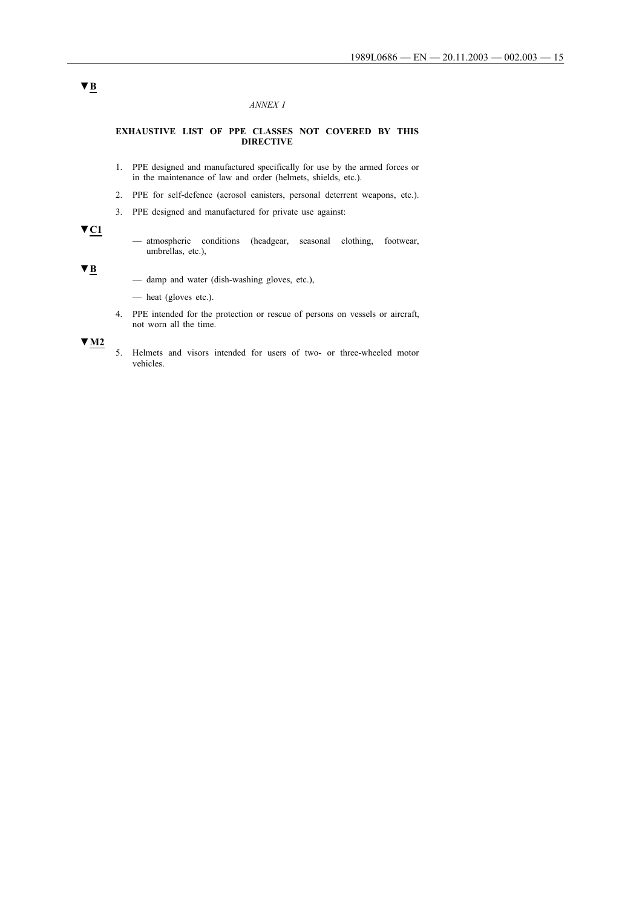### *ANNEX I*

#### **EXHAUSTIVE LIST OF PPE CLASSES NOT COVERED BY THIS DIRECTIVE**

- 1. PPE designed and manufactured specifically for use by the armed forces or in the maintenance of law and order (helmets, shields, etc.).
- 2. PPE for self-defence (aerosol canisters, personal deterrent weapons, etc.).
- 3. PPE designed and manufactured for private use against:

# **▼C1**

— atmospheric conditions (headgear, seasonal clothing, footwear, umbrellas, etc.),

**▼B**

- damp and water (dish-washing gloves, etc.),
- heat (gloves etc.).
- 4. PPE intended for the protection or rescue of persons on vessels or aircraft, not worn all the time.

**▼M2**

5. Helmets and visors intended for users of two- or three-wheeled motor vehicles.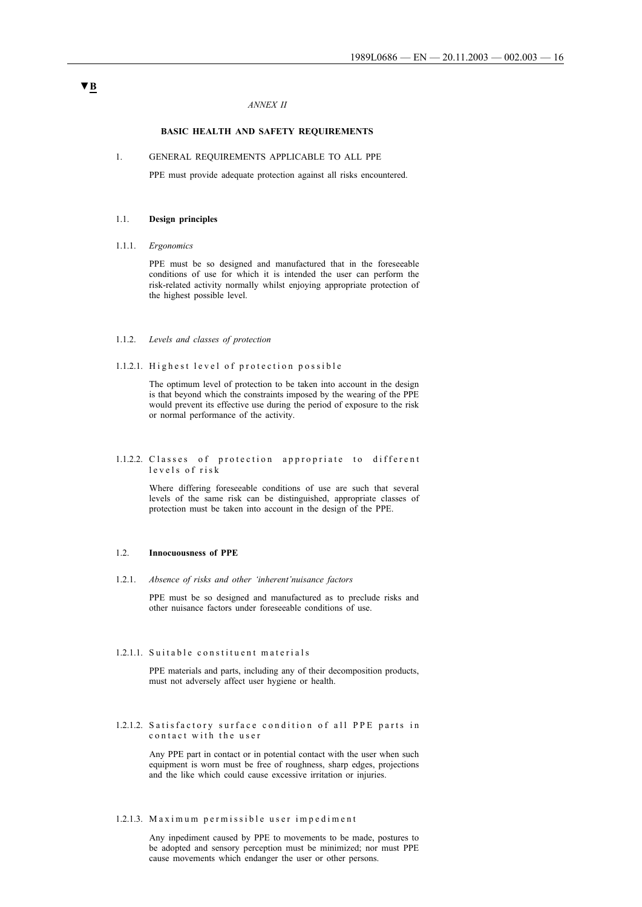### *ANNEX II*

### **BASIC HEALTH AND SAFETY REQUIREMENTS**

#### 1. GENERAL REQUIREMENTS APPLICABLE TO ALL PPE

PPE must provide adequate protection against all risks encountered.

### 1.1. **Design principles**

#### 1.1.1. *Ergonomics*

PPE must be so designed and manufactured that in the foreseeable conditions of use for which it is intended the user can perform the risk-related activity normally whilst enjoying appropriate protection of the highest possible level.

#### 1.1.2. *Levels and classes of protection*

1.1.2.1. Highest level of protection possible

The optimum level of protection to be taken into account in the design is that beyond which the constraints imposed by the wearing of the PPE would prevent its effective use during the period of exposure to the risk or normal performance of the activity.

#### 1.1.2.2. Classes of protection appropriate to different l e v e l s o f r i s k

Where differing foreseeable conditions of use are such that several levels of the same risk can be distinguished, appropriate classes of protection must be taken into account in the design of the PPE.

#### 1.2. **Innocuousness of PPE**

1.2.1. *Absence of risks and other 'inherent'nuisance factors*

PPE must be so designed and manufactured as to preclude risks and other nuisance factors under foreseeable conditions of use.

### 1.2.1.1. Suitable constituent materials

PPE materials and parts, including any of their decomposition products, must not adversely affect user hygiene or health.

1.2.1.2. Satisfactory surface condition of all PPE parts in contact with the user

> Any PPE part in contact or in potential contact with the user when such equipment is worn must be free of roughness, sharp edges, projections and the like which could cause excessive irritation or injuries.

### 1.2.1.3. Maximum permissible user impediment

Any inpediment caused by PPE to movements to be made, postures to be adopted and sensory perception must be minimized; nor must PPE cause movements which endanger the user or other persons.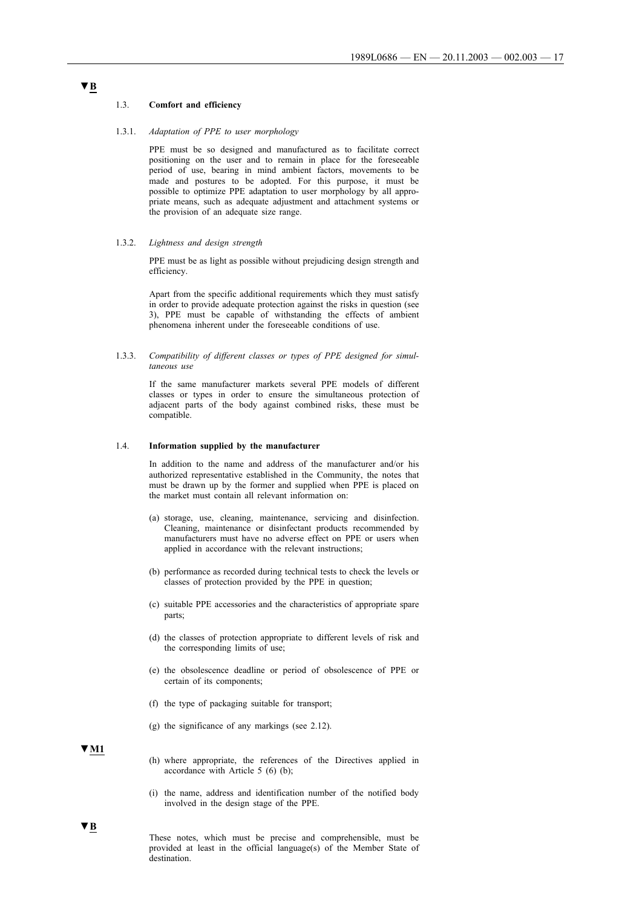#### 1.3. **Comfort and efficiency**

#### 1.3.1. *Adaptation of PPE to user morphology*

PPE must be so designed and manufactured as to facilitate correct positioning on the user and to remain in place for the foreseeable period of use, bearing in mind ambient factors, movements to be made and postures to be adopted. For this purpose, it must be possible to optimize PPE adaptation to user morphology by all appropriate means, such as adequate adjustment and attachment systems or the provision of an adequate size range.

#### 1.3.2. *Lightness and design strength*

PPE must be as light as possible without prejudicing design strength and efficiency.

Apart from the specific additional requirements which they must satisfy in order to provide adequate protection against the risks in question (see 3), PPE must be capable of withstanding the effects of ambient phenomena inherent under the foreseeable conditions of use.

1.3.3. *Compatibility of different classes or types of PPE designed for simultaneous use*

> If the same manufacturer markets several PPE models of different classes or types in order to ensure the simultaneous protection of adjacent parts of the body against combined risks, these must be compatible.

#### 1.4. **Information supplied by the manufacturer**

In addition to the name and address of the manufacturer and/or his authorized representative established in the Community, the notes that must be drawn up by the former and supplied when PPE is placed on the market must contain all relevant information on:

- (a) storage, use, cleaning, maintenance, servicing and disinfection. Cleaning, maintenance or disinfectant products recommended by manufacturers must have no adverse effect on PPE or users when applied in accordance with the relevant instructions;
- (b) performance as recorded during technical tests to check the levels or classes of protection provided by the PPE in question;
- (c) suitable PPE accessories and the characteristics of appropriate spare parts;
- (d) the classes of protection appropriate to different levels of risk and the corresponding limits of use;
- (e) the obsolescence deadline or period of obsolescence of PPE or certain of its components;
- (f) the type of packaging suitable for transport;
- (g) the significance of any markings (see 2.12).

#### **▼M1**

- (h) where appropriate, the references of the Directives applied in accordance with Article 5 (6) (b);
- (i) the name, address and identification number of the notified body involved in the design stage of the PPE.

These notes, which must be precise and comprehensible, must be provided at least in the official language(s) of the Member State of destination.

# **▼B**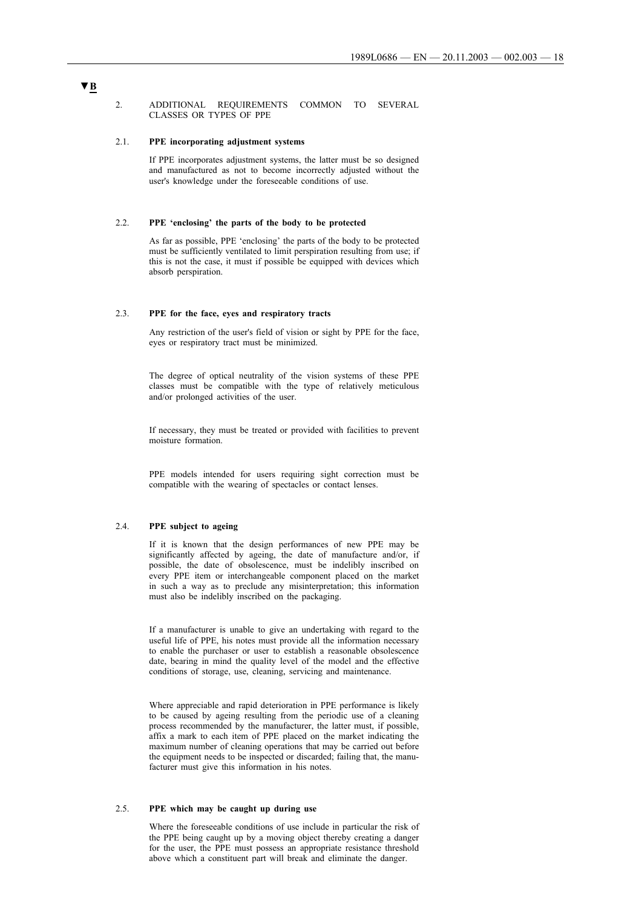#### 2. ADDITIONAL REQUIREMENTS COMMON TO SEVERAL CLASSES OR TYPES OF PPE

#### 2.1. **PPE incorporating adjustment systems**

If PPE incorporates adjustment systems, the latter must be so designed and manufactured as not to become incorrectly adjusted without the user's knowledge under the foreseeable conditions of use.

## 2.2. **PPE 'enclosing' the parts of the body to be protected**

As far as possible, PPE 'enclosing' the parts of the body to be protected must be sufficiently ventilated to limit perspiration resulting from use; if this is not the case, it must if possible be equipped with devices which absorb perspiration.

### 2.3. **PPE for the face, eyes and respiratory tracts**

Any restriction of the user's field of vision or sight by PPE for the face, eyes or respiratory tract must be minimized.

The degree of optical neutrality of the vision systems of these PPE classes must be compatible with the type of relatively meticulous and/or prolonged activities of the user.

If necessary, they must be treated or provided with facilities to prevent moisture formation.

PPE models intended for users requiring sight correction must be compatible with the wearing of spectacles or contact lenses.

### 2.4. **PPE subject to ageing**

If it is known that the design performances of new PPE may be significantly affected by ageing, the date of manufacture and/or, if possible, the date of obsolescence, must be indelibly inscribed on every PPE item or interchangeable component placed on the market in such a way as to preclude any misinterpretation; this information must also be indelibly inscribed on the packaging.

If a manufacturer is unable to give an undertaking with regard to the useful life of PPE, his notes must provide all the information necessary to enable the purchaser or user to establish a reasonable obsolescence date, bearing in mind the quality level of the model and the effective conditions of storage, use, cleaning, servicing and maintenance.

Where appreciable and rapid deterioration in PPE performance is likely to be caused by ageing resulting from the periodic use of a cleaning process recommended by the manufacturer, the latter must, if possible, affix a mark to each item of PPE placed on the market indicating the maximum number of cleaning operations that may be carried out before the equipment needs to be inspected or discarded; failing that, the manufacturer must give this information in his notes.

## 2.5. **PPE which may be caught up during use**

Where the foreseeable conditions of use include in particular the risk of the PPE being caught up by a moving object thereby creating a danger for the user, the PPE must possess an appropriate resistance threshold above which a constituent part will break and eliminate the danger.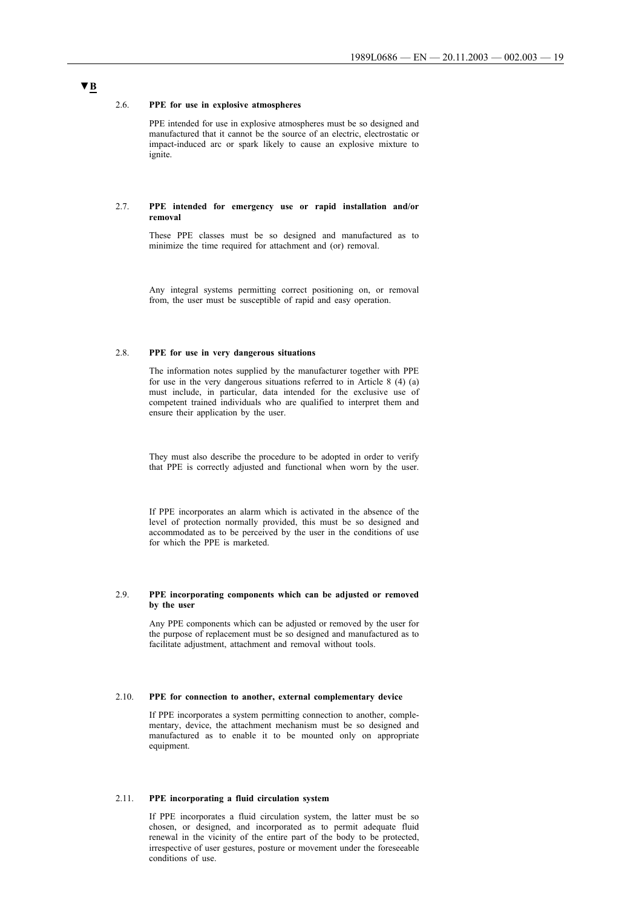#### 2.6. **PPE for use in explosive atmospheres**

PPE intended for use in explosive atmospheres must be so designed and manufactured that it cannot be the source of an electric, electrostatic or impact-induced arc or spark likely to cause an explosive mixture to ignite.

#### 2.7. **PPE intended for emergency use or rapid installation and/or removal**

These PPE classes must be so designed and manufactured as to minimize the time required for attachment and (or) removal.

Any integral systems permitting correct positioning on, or removal from, the user must be susceptible of rapid and easy operation.

#### 2.8. **PPE for use in very dangerous situations**

The information notes supplied by the manufacturer together with PPE for use in the very dangerous situations referred to in Article 8 (4) (a) must include, in particular, data intended for the exclusive use of competent trained individuals who are qualified to interpret them and ensure their application by the user.

They must also describe the procedure to be adopted in order to verify that PPE is correctly adjusted and functional when worn by the user.

If PPE incorporates an alarm which is activated in the absence of the level of protection normally provided, this must be so designed and accommodated as to be perceived by the user in the conditions of use for which the PPE is marketed.

#### 2.9. **PPE incorporating components which can be adjusted or removed by the user**

Any PPE components which can be adjusted or removed by the user for the purpose of replacement must be so designed and manufactured as to facilitate adjustment, attachment and removal without tools.

### 2.10. **PPE for connection to another, external complementary device**

If PPE incorporates a system permitting connection to another, complementary, device, the attachment mechanism must be so designed and manufactured as to enable it to be mounted only on appropriate equipment.

### 2.11. **PPE incorporating a fluid circulation system**

If PPE incorporates a fluid circulation system, the latter must be so chosen, or designed, and incorporated as to permit adequate fluid renewal in the vicinity of the entire part of the body to be protected, irrespective of user gestures, posture or movement under the foreseeable conditions of use.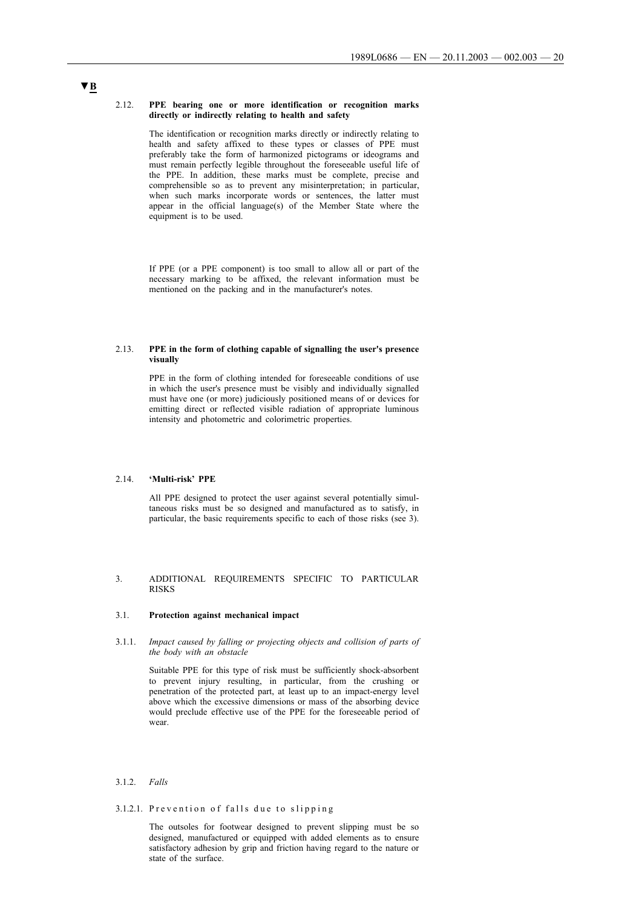#### 2.12. **PPE bearing one or more identification or recognition marks directly or indirectly relating to health and safety**

The identification or recognition marks directly or indirectly relating to health and safety affixed to these types or classes of PPE must preferably take the form of harmonized pictograms or ideograms and must remain perfectly legible throughout the foreseeable useful life of the PPE. In addition, these marks must be complete, precise and comprehensible so as to prevent any misinterpretation; in particular, when such marks incorporate words or sentences, the latter must appear in the official language(s) of the Member State where the equipment is to be used.

If PPE (or a PPE component) is too small to allow all or part of the necessary marking to be affixed, the relevant information must be mentioned on the packing and in the manufacturer's notes.

#### 2.13. **PPE in the form of clothing capable of signalling the user's presence visually**

PPE in the form of clothing intended for foreseeable conditions of use in which the user's presence must be visibly and individually signalled must have one (or more) judiciously positioned means of or devices for emitting direct or reflected visible radiation of appropriate luminous intensity and photometric and colorimetric properties.

## 2.14. **'Multi-risk' PPE**

All PPE designed to protect the user against several potentially simultaneous risks must be so designed and manufactured as to satisfy, in particular, the basic requirements specific to each of those risks (see 3).

### 3. ADDITIONAL REQUIREMENTS SPECIFIC TO PARTICULAR RISKS

#### 3.1. **Protection against mechanical impact**

3.1.1. *Impact caused by falling or projecting objects and collision of parts of the body with an obstacle*

> Suitable PPE for this type of risk must be sufficiently shock-absorbent to prevent injury resulting, in particular, from the crushing or penetration of the protected part, at least up to an impact-energy level above which the excessive dimensions or mass of the absorbing device would preclude effective use of the PPE for the foreseeable period of wear.

### 3.1.2. *Falls*

### 3.1.2.1. Prevention of falls due to slipping

The outsoles for footwear designed to prevent slipping must be so designed, manufactured or equipped with added elements as to ensure satisfactory adhesion by grip and friction having regard to the nature or state of the surface.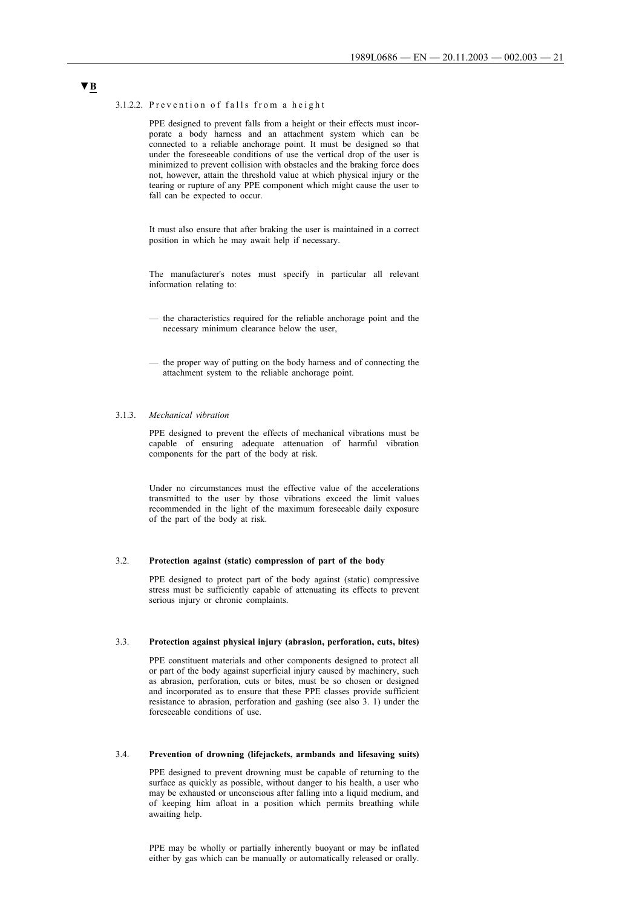#### 3.1.2.2. Prevention of falls from a height

PPE designed to prevent falls from a height or their effects must incorporate a body harness and an attachment system which can be connected to a reliable anchorage point. It must be designed so that under the foreseeable conditions of use the vertical drop of the user is minimized to prevent collision with obstacles and the braking force does not, however, attain the threshold value at which physical injury or the tearing or rupture of any PPE component which might cause the user to fall can be expected to occur.

It must also ensure that after braking the user is maintained in a correct position in which he may await help if necessary.

The manufacturer's notes must specify in particular all relevant information relating to:

- the characteristics required for the reliable anchorage point and the necessary minimum clearance below the user,
- the proper way of putting on the body harness and of connecting the attachment system to the reliable anchorage point.

#### 3.1.3. *Mechanical vibration*

PPE designed to prevent the effects of mechanical vibrations must be capable of ensuring adequate attenuation of harmful vibration components for the part of the body at risk.

Under no circumstances must the effective value of the accelerations transmitted to the user by those vibrations exceed the limit values recommended in the light of the maximum foreseeable daily exposure of the part of the body at risk.

### 3.2. **Protection against (static) compression of part of the body**

PPE designed to protect part of the body against (static) compressive stress must be sufficiently capable of attenuating its effects to prevent serious injury or chronic complaints.

### 3.3. **Protection against physical injury (abrasion, perforation, cuts, bites)**

PPE constituent materials and other components designed to protect all or part of the body against superficial injury caused by machinery, such as abrasion, perforation, cuts or bites, must be so chosen or designed and incorporated as to ensure that these PPE classes provide sufficient resistance to abrasion, perforation and gashing (see also 3. 1) under the foreseeable conditions of use.

#### 3.4. **Prevention of drowning (lifejackets, armbands and lifesaving suits)**

PPE designed to prevent drowning must be capable of returning to the surface as quickly as possible, without danger to his health, a user who may be exhausted or unconscious after falling into a liquid medium, and of keeping him afloat in a position which permits breathing while awaiting help.

PPE may be wholly or partially inherently buoyant or may be inflated either by gas which can be manually or automatically released or orally.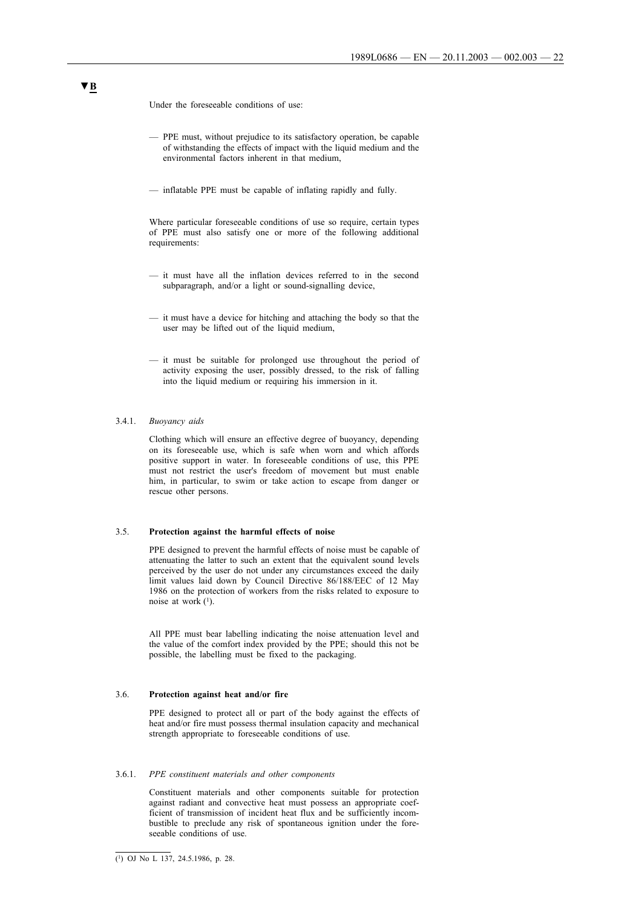Under the foreseeable conditions of use:

- PPE must, without prejudice to its satisfactory operation, be capable of withstanding the effects of impact with the liquid medium and the environmental factors inherent in that medium,
- inflatable PPE must be capable of inflating rapidly and fully.

Where particular foreseeable conditions of use so require, certain types of PPE must also satisfy one or more of the following additional requirements:

- it must have all the inflation devices referred to in the second subparagraph, and/or a light or sound-signalling device,
- it must have a device for hitching and attaching the body so that the user may be lifted out of the liquid medium,
- it must be suitable for prolonged use throughout the period of activity exposing the user, possibly dressed, to the risk of falling into the liquid medium or requiring his immersion in it.

#### 3.4.1. *Buoyancy aids*

Clothing which will ensure an effective degree of buoyancy, depending on its foreseeable use, which is safe when worn and which affords positive support in water. In foreseeable conditions of use, this PPE must not restrict the user's freedom of movement but must enable him, in particular, to swim or take action to escape from danger or rescue other persons.

#### 3.5. **Protection against the harmful effects of noise**

PPE designed to prevent the harmful effects of noise must be capable of attenuating the latter to such an extent that the equivalent sound levels perceived by the user do not under any circumstances exceed the daily limit values laid down by Council Directive 86/188/EEC of 12 May 1986 on the protection of workers from the risks related to exposure to noise at work  $(1)$ .

All PPE must bear labelling indicating the noise attenuation level and the value of the comfort index provided by the PPE; should this not be possible, the labelling must be fixed to the packaging.

#### 3.6. **Protection against heat and/or fire**

PPE designed to protect all or part of the body against the effects of heat and/or fire must possess thermal insulation capacity and mechanical strength appropriate to foreseeable conditions of use.

#### 3.6.1. *PPE constituent materials and other components*

Constituent materials and other components suitable for protection against radiant and convective heat must possess an appropriate coefficient of transmission of incident heat flux and be sufficiently incombustible to preclude any risk of spontaneous ignition under the foreseeable conditions of use.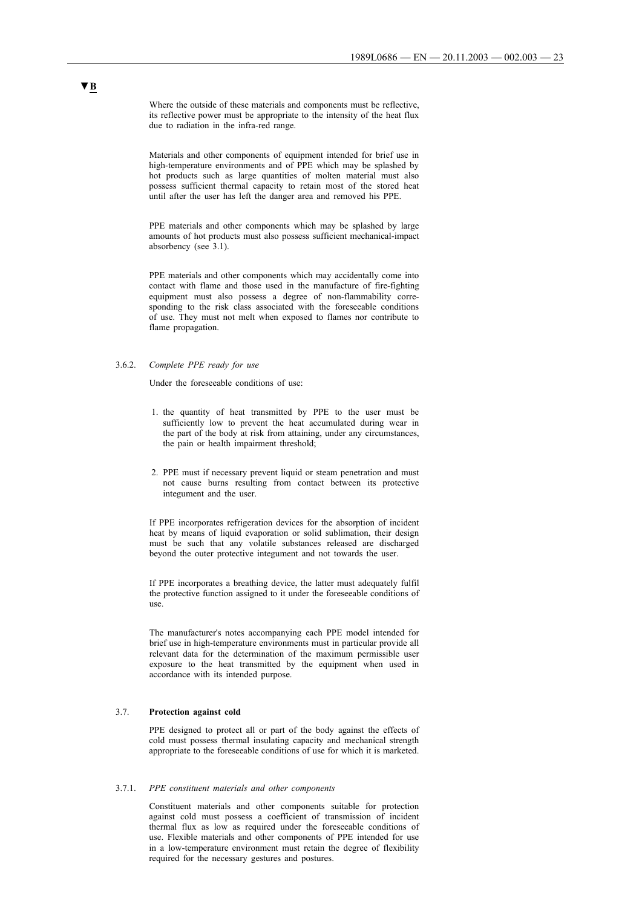Where the outside of these materials and components must be reflective, its reflective power must be appropriate to the intensity of the heat flux due to radiation in the infra-red range.

Materials and other components of equipment intended for brief use in high-temperature environments and of PPE which may be splashed by hot products such as large quantities of molten material must also possess sufficient thermal capacity to retain most of the stored heat until after the user has left the danger area and removed his PPE.

PPE materials and other components which may be splashed by large amounts of hot products must also possess sufficient mechanical-impact absorbency (see 3.1).

PPE materials and other components which may accidentally come into contact with flame and those used in the manufacture of fire-fighting equipment must also possess a degree of non-flammability corresponding to the risk class associated with the foreseeable conditions of use. They must not melt when exposed to flames nor contribute to flame propagation.

#### 3.6.2. *Complete PPE ready for use*

Under the foreseeable conditions of use:

- 1. the quantity of heat transmitted by PPE to the user must be sufficiently low to prevent the heat accumulated during wear in the part of the body at risk from attaining, under any circumstances, the pain or health impairment threshold;
- 2. PPE must if necessary prevent liquid or steam penetration and must not cause burns resulting from contact between its protective integument and the user.

If PPE incorporates refrigeration devices for the absorption of incident heat by means of liquid evaporation or solid sublimation, their design must be such that any volatile substances released are discharged beyond the outer protective integument and not towards the user.

If PPE incorporates a breathing device, the latter must adequately fulfil the protective function assigned to it under the foreseeable conditions of use.

The manufacturer's notes accompanying each PPE model intended for brief use in high-temperature environments must in particular provide all relevant data for the determination of the maximum permissible user exposure to the heat transmitted by the equipment when used in accordance with its intended purpose.

### 3.7. **Protection against cold**

PPE designed to protect all or part of the body against the effects of cold must possess thermal insulating capacity and mechanical strength appropriate to the foreseeable conditions of use for which it is marketed.

#### 3.7.1. *PPE constituent materials and other components*

Constituent materials and other components suitable for protection against cold must possess a coefficient of transmission of incident thermal flux as low as required under the foreseeable conditions of use. Flexible materials and other components of PPE intended for use in a low-temperature environment must retain the degree of flexibility required for the necessary gestures and postures.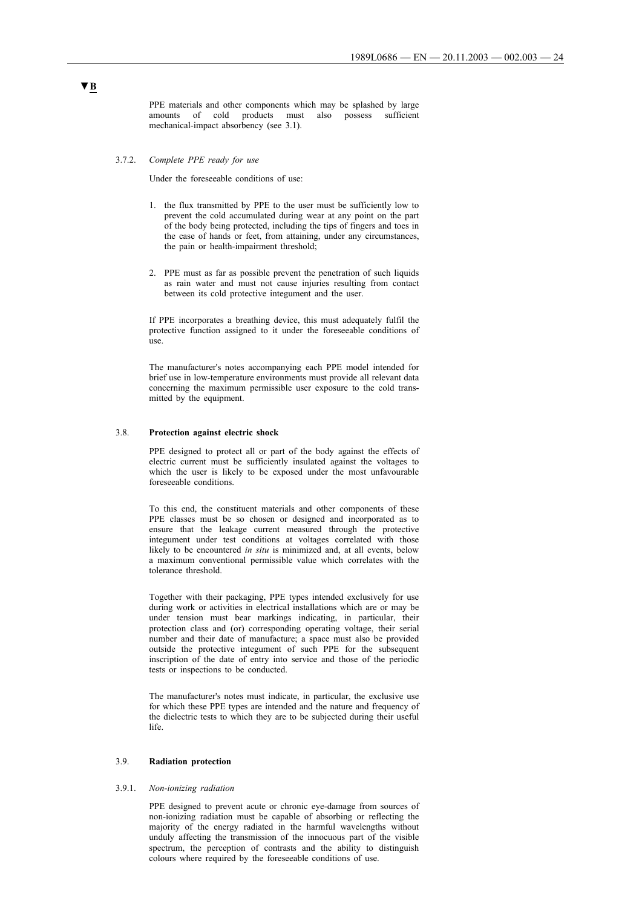PPE materials and other components which may be splashed by large amounts of cold products must also possess sufficient mechanical-impact absorbency (see 3.1).

#### 3.7.2. *Complete PPE ready for use*

Under the foreseeable conditions of use:

- 1. the flux transmitted by PPE to the user must be sufficiently low to prevent the cold accumulated during wear at any point on the part of the body being protected, including the tips of fingers and toes in the case of hands or feet, from attaining, under any circumstances, the pain or health-impairment threshold;
- 2. PPE must as far as possible prevent the penetration of such liquids as rain water and must not cause injuries resulting from contact between its cold protective integument and the user.

If PPE incorporates a breathing device, this must adequately fulfil the protective function assigned to it under the foreseeable conditions of use.

The manufacturer's notes accompanying each PPE model intended for brief use in low-temperature environments must provide all relevant data concerning the maximum permissible user exposure to the cold transmitted by the equipment.

### 3.8. **Protection against electric shock**

PPE designed to protect all or part of the body against the effects of electric current must be sufficiently insulated against the voltages to which the user is likely to be exposed under the most unfavourable foreseeable conditions.

To this end, the constituent materials and other components of these PPE classes must be so chosen or designed and incorporated as to ensure that the leakage current measured through the protective integument under test conditions at voltages correlated with those likely to be encountered *in situ* is minimized and, at all events, below a maximum conventional permissible value which correlates with the tolerance threshold.

Together with their packaging, PPE types intended exclusively for use during work or activities in electrical installations which are or may be under tension must bear markings indicating, in particular, their protection class and (or) corresponding operating voltage, their serial number and their date of manufacture; a space must also be provided outside the protective integument of such PPE for the subsequent inscription of the date of entry into service and those of the periodic tests or inspections to be conducted.

The manufacturer's notes must indicate, in particular, the exclusive use for which these PPE types are intended and the nature and frequency of the dielectric tests to which they are to be subjected during their useful life.

### 3.9. **Radiation protection**

#### 3.9.1. *Non-ionizing radiation*

PPE designed to prevent acute or chronic eye-damage from sources of non-ionizing radiation must be capable of absorbing or reflecting the majority of the energy radiated in the harmful wavelengths without unduly affecting the transmission of the innocuous part of the visible spectrum, the perception of contrasts and the ability to distinguish colours where required by the foreseeable conditions of use.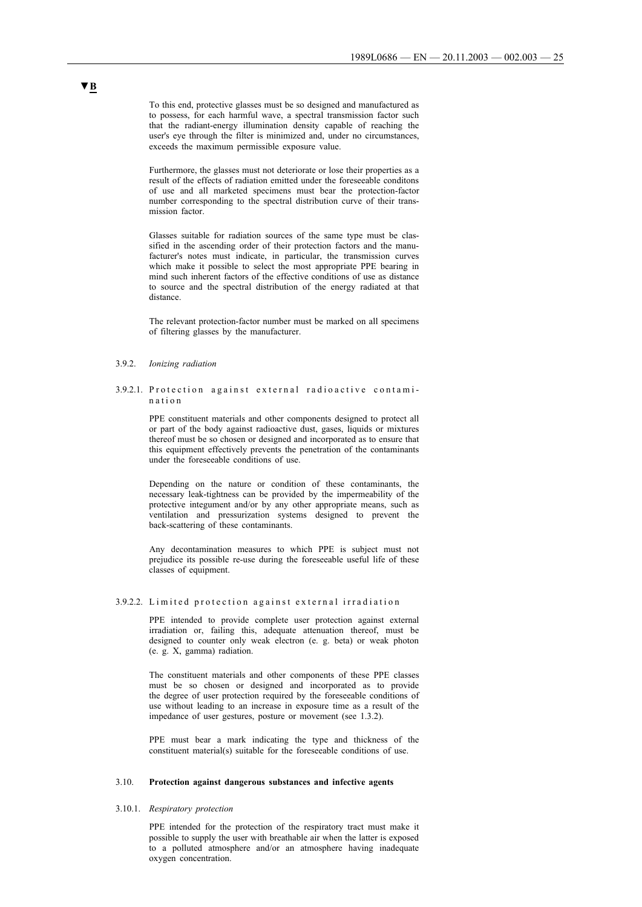To this end, protective glasses must be so designed and manufactured as to possess, for each harmful wave, a spectral transmission factor such that the radiant-energy illumination density capable of reaching the user's eye through the filter is minimized and, under no circumstances, exceeds the maximum permissible exposure value.

Furthermore, the glasses must not deteriorate or lose their properties as a result of the effects of radiation emitted under the foreseeable conditons of use and all marketed specimens must bear the protection-factor number corresponding to the spectral distribution curve of their transmission factor.

Glasses suitable for radiation sources of the same type must be classified in the ascending order of their protection factors and the manufacturer's notes must indicate, in particular, the transmission curves which make it possible to select the most appropriate PPE bearing in mind such inherent factors of the effective conditions of use as distance to source and the spectral distribution of the energy radiated at that distance.

The relevant protection-factor number must be marked on all specimens of filtering glasses by the manufacturer.

### 3.9.2. *Ionizing radiation*

#### 3.9.2.1. Protection against external radioactive contamin a t i o n

PPE constituent materials and other components designed to protect all or part of the body against radioactive dust, gases, liquids or mixtures thereof must be so chosen or designed and incorporated as to ensure that this equipment effectively prevents the penetration of the contaminants under the foreseeable conditions of use.

Depending on the nature or condition of these contaminants, the necessary leak-tightness can be provided by the impermeability of the protective integument and/or by any other appropriate means, such as ventilation and pressurization systems designed to prevent the back-scattering of these contaminants.

Any decontamination measures to which PPE is subject must not prejudice its possible re-use during the foreseeable useful life of these classes of equipment.

#### 3.9.2.2. Limited protection against external irradiation

PPE intended to provide complete user protection against external irradiation or, failing this, adequate attenuation thereof, must be designed to counter only weak electron (e. g. beta) or weak photon (e. g. X, gamma) radiation.

The constituent materials and other components of these PPE classes must be so chosen or designed and incorporated as to provide the degree of user protection required by the foreseeable conditions of use without leading to an increase in exposure time as a result of the impedance of user gestures, posture or movement (see 1.3.2).

PPE must bear a mark indicating the type and thickness of the constituent material(s) suitable for the foreseeable conditions of use.

### 3.10. **Protection against dangerous substances and infective agents**

## 3.10.1. *Respiratory protection*

PPE intended for the protection of the respiratory tract must make it possible to supply the user with breathable air when the latter is exposed to a polluted atmosphere and/or an atmosphere having inadequate oxygen concentration.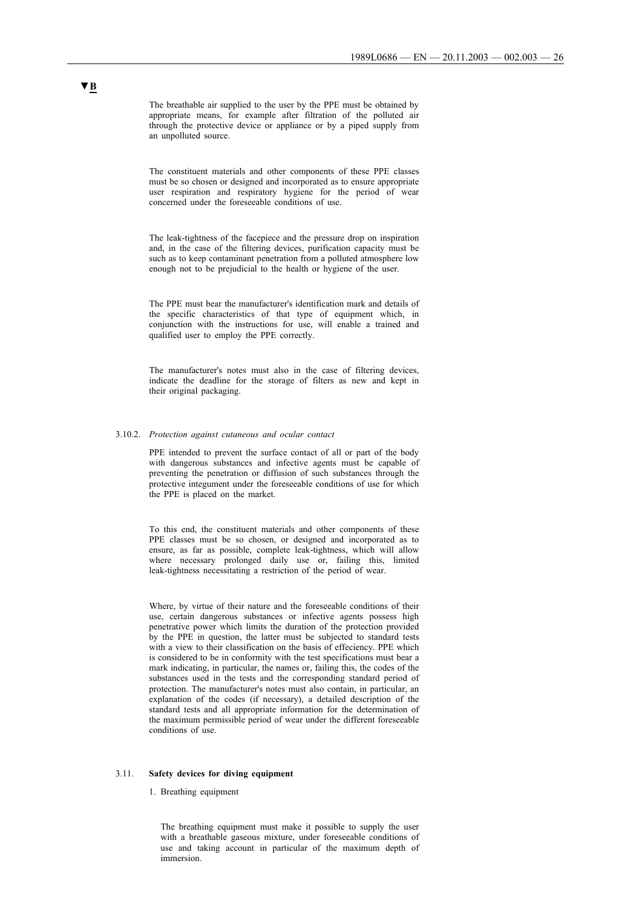The breathable air supplied to the user by the PPE must be obtained by appropriate means, for example after filtration of the polluted air through the protective device or appliance or by a piped supply from an unpolluted source.

The constituent materials and other components of these PPE classes must be so chosen or designed and incorporated as to ensure appropriate user respiration and respiratory hygiene for the period of wear concerned under the foreseeable conditions of use.

The leak-tightness of the facepiece and the pressure drop on inspiration and, in the case of the filtering devices, purification capacity must be such as to keep contaminant penetration from a polluted atmosphere low enough not to be prejudicial to the health or hygiene of the user.

The PPE must bear the manufacturer's identification mark and details of the specific characteristics of that type of equipment which, in conjunction with the instructions for use, will enable a trained and qualified user to employ the PPE correctly.

The manufacturer's notes must also in the case of filtering devices, indicate the deadline for the storage of filters as new and kept in their original packaging.

#### 3.10.2. *Protection against cutaneous and ocular contact*

PPE intended to prevent the surface contact of all or part of the body with dangerous substances and infective agents must be capable of preventing the penetration or diffusion of such substances through the protective integument under the foreseeable conditions of use for which the PPE is placed on the market.

To this end, the constituent materials and other components of these PPE classes must be so chosen, or designed and incorporated as to ensure, as far as possible, complete leak-tightness, which will allow where necessary prolonged daily use or, failing this, limited leak-tightness necessitating a restriction of the period of wear.

Where, by virtue of their nature and the foreseeable conditions of their use, certain dangerous substances or infective agents possess high penetrative power which limits the duration of the protection provided by the PPE in question, the latter must be subjected to standard tests with a view to their classification on the basis of effeciency. PPE which is considered to be in conformity with the test specifications must bear a mark indicating, in particular, the names or, failing this, the codes of the substances used in the tests and the corresponding standard period of protection. The manufacturer's notes must also contain, in particular, an explanation of the codes (if necessary), a detailed description of the standard tests and all appropriate information for the determination of the maximum permissible period of wear under the different foreseeable conditions of use.

#### 3.11. **Safety devices for diving equipment**

#### 1. Breathing equipment

The breathing equipment must make it possible to supply the user with a breathable gaseous mixture, under foreseeable conditions of use and taking account in particular of the maximum depth of immersion.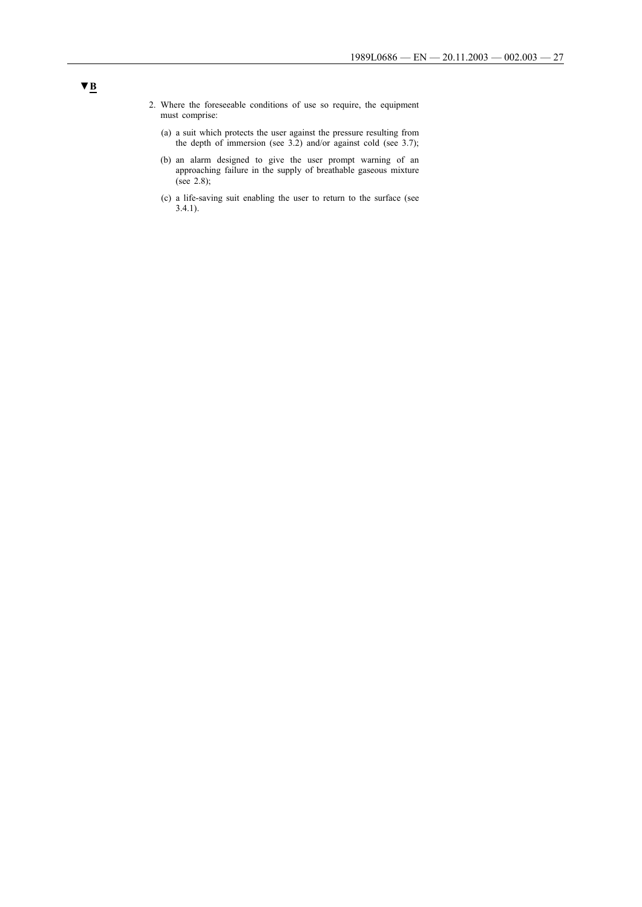- 2. Where the foreseeable conditions of use so require, the equipment must comprise:
	- (a) a suit which protects the user against the pressure resulting from the depth of immersion (see 3.2) and/or against cold (see 3.7);
	- (b) an alarm designed to give the user prompt warning of an approaching failure in the supply of breathable gaseous mixture (see 2.8);
	- (c) a life-saving suit enabling the user to return to the surface (see 3.4.1).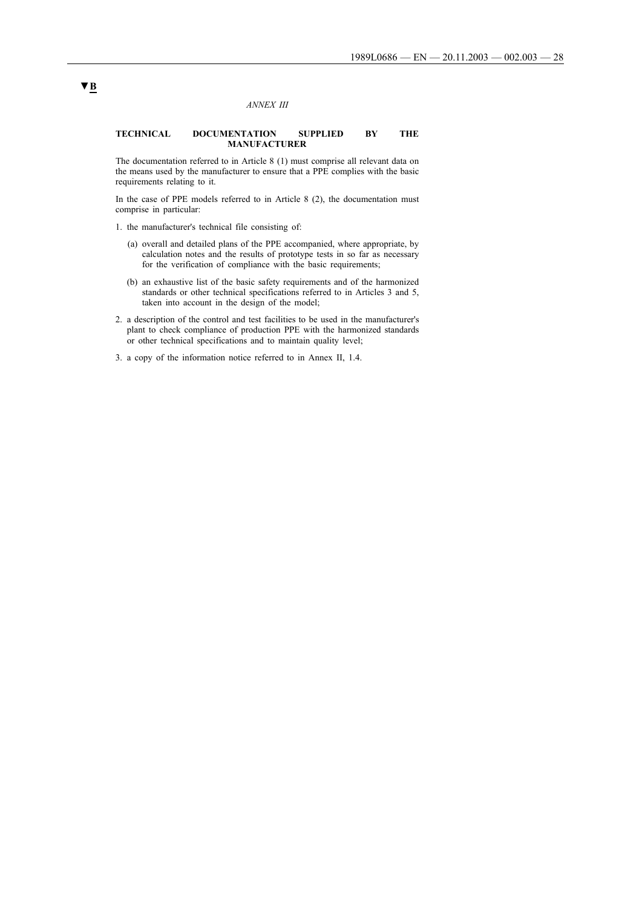#### *ANNEX III*

#### **TECHNICAL DOCUMENTATION SUPPLIED BY THE MANUFACTURER**

The documentation referred to in Article 8 (1) must comprise all relevant data on the means used by the manufacturer to ensure that a PPE complies with the basic requirements relating to it.

In the case of PPE models referred to in Article 8 (2), the documentation must comprise in particular:

- 1. the manufacturer's technical file consisting of:
	- (a) overall and detailed plans of the PPE accompanied, where appropriate, by calculation notes and the results of prototype tests in so far as necessary for the verification of compliance with the basic requirements;
	- (b) an exhaustive list of the basic safety requirements and of the harmonized standards or other technical specifications referred to in Articles 3 and 5, taken into account in the design of the model;
- 2. a description of the control and test facilities to be used in the manufacturer's plant to check compliance of production PPE with the harmonized standards or other technical specifications and to maintain quality level;
- 3. a copy of the information notice referred to in Annex II, 1.4.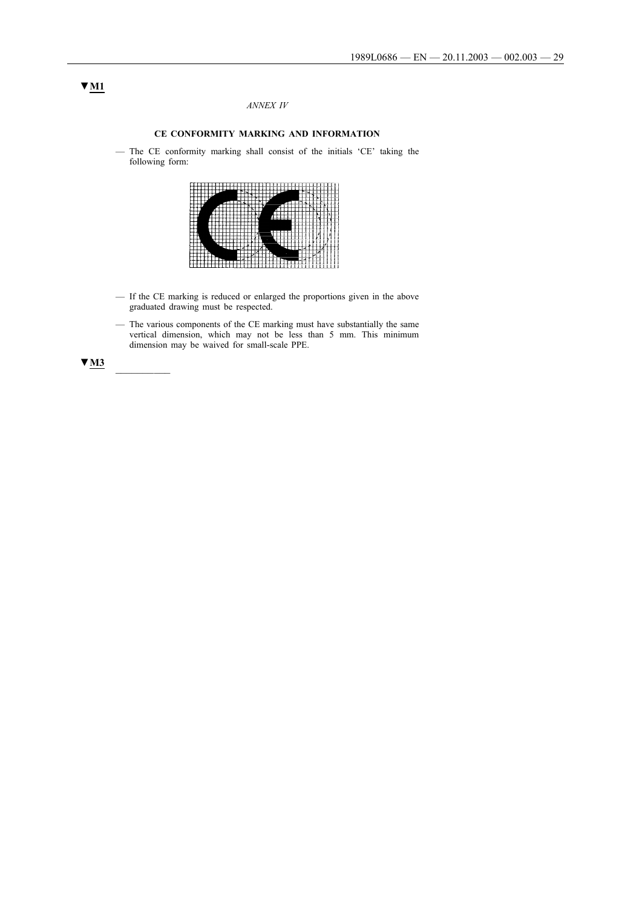# *ANNEX IV*

## **CE CONFORMITY MARKING AND INFORMATION**

— The CE conformity marking shall consist of the initials 'CE' taking the following form:

|   |   | ı           |
|---|---|-------------|
|   |   |             |
|   |   |             |
|   |   |             |
|   |   |             |
|   |   | ×           |
|   |   | i.          |
|   |   |             |
|   |   |             |
|   |   |             |
|   | ⋍ |             |
|   |   |             |
|   |   |             |
|   |   |             |
|   |   |             |
|   |   |             |
|   |   |             |
|   |   |             |
| ı |   |             |
|   |   |             |
|   |   |             |
|   |   |             |
|   |   |             |
|   |   | ÷<br>т<br>Ξ |
|   |   |             |

- If the CE marking is reduced or enlarged the proportions given in the above graduated drawing must be respected.
- The various components of the CE marking must have substantially the same vertical dimension, which may not be less than 5 mm. This minimum dimension may be waived for small-scale PPE.



# **▼M1**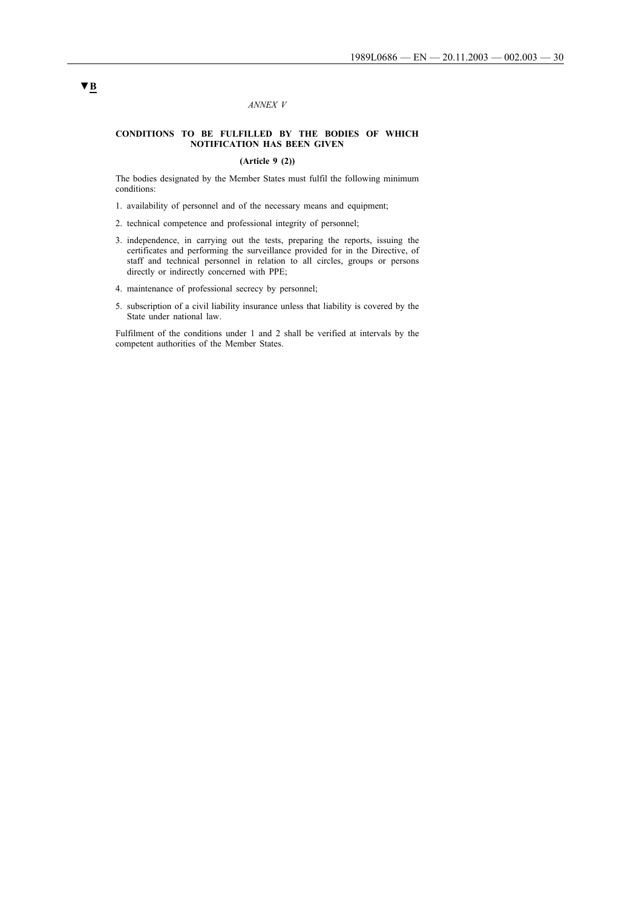#### *ANNEX V*

### **CONDITIONS TO BE FULFILLED BY THE BODIES OF WHICH NOTIFICATION HAS BEEN GIVEN**

## **(Article 9 (2))**

The bodies designated by the Member States must fulfil the following minimum conditions:

- 1. availability of personnel and of the necessary means and equipment;
- 2. technical competence and professional integrity of personnel;
- 3. independence, in carrying out the tests, preparing the reports, issuing the certificates and performing the surveillance provided for in the Directive, of staff and technical personnel in relation to all circles, groups or persons directly or indirectly concerned with PPE;
- 4. maintenance of professional secrecy by personnel;
- 5. subscription of a civil liability insurance unless that liability is covered by the State under national law.

Fulfilment of the conditions under 1 and 2 shall be verified at intervals by the competent authorities of the Member States.